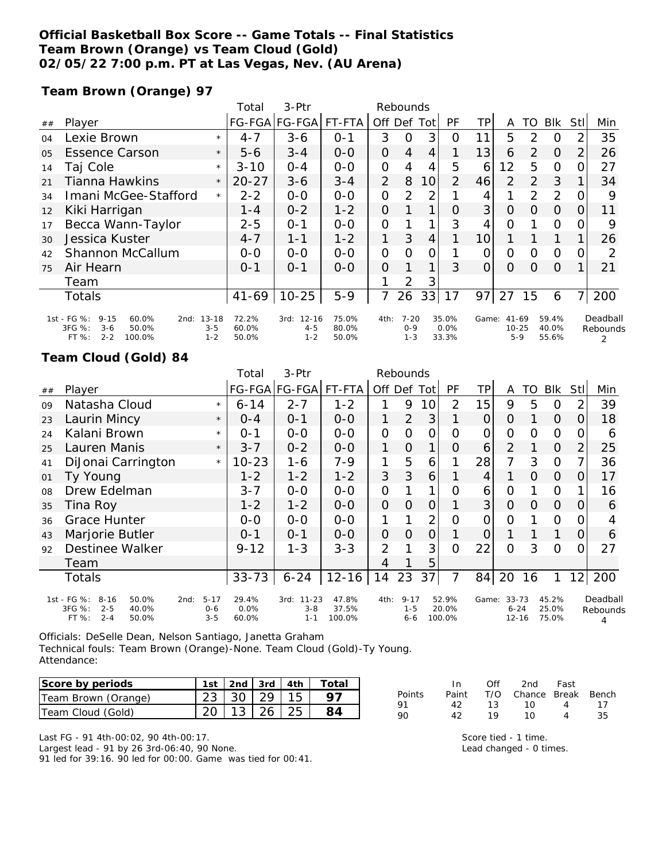### **Official Basketball Box Score -- Game Totals -- Final Statistics Team Brown (Orange) vs Team Cloud (Gold) 02/05/22 7:00 p.m. PT at Las Vegas, Nev. (AU Arena)**

**Team Brown (Orange) 97**

|    |                                                                                                          |                    | Total                   | 3-Ptr                                   | Rebounds                |                |                                |     |                        |                |                                 |               |                         |      |                           |
|----|----------------------------------------------------------------------------------------------------------|--------------------|-------------------------|-----------------------------------------|-------------------------|----------------|--------------------------------|-----|------------------------|----------------|---------------------------------|---------------|-------------------------|------|---------------------------|
| ## | Player                                                                                                   |                    |                         | FG-FGA FG-FGA                           | FT-FTA                  | Off            | Def                            | Tot | PF                     | TР             | A                               | TO            | Blk                     | Stll | Min                       |
| 04 | Lexie Brown                                                                                              | $\star$            | $4 - 7$                 | $3 - 6$                                 | $0 - 1$                 | 3              | 0                              | 3   | 0                      | 11             | 5                               | $\mathcal{P}$ | $\Omega$                | 2    | 35                        |
| 05 | <b>Essence Carson</b>                                                                                    | $\star$            | $5 - 6$                 | $3 - 4$                                 | $0 - 0$                 | $\overline{O}$ | $\overline{4}$                 | 4   |                        | 13             | 6                               | 2             | $\Omega$                | 2    | 26                        |
| 14 | Taj Cole                                                                                                 | $\star$            | $3 - 10$                | $O - 4$                                 | $0-0$                   | O              | 4                              | 4   | 5                      | 6              | 12                              | 5             | $\Omega$                | O    | 27                        |
| 21 | <b>Tianna Hawkins</b>                                                                                    | $\star$            | $20 - 27$               | $3 - 6$                                 | $3 - 4$                 | 2              | 8                              | 10  | $\mathcal{P}$          | 46             | 2                               | 2             | 3                       |      | 34                        |
| 34 | Imani McGee-Stafford                                                                                     | $\star$            | $2 - 2$                 | $0 - 0$                                 | $0 - 0$                 | O              | 2                              | 2   |                        | 4              |                                 | 2             | 2                       |      | 9                         |
| 12 | Kiki Harrigan                                                                                            |                    | 1 - 4                   | $0 - 2$                                 | $1 - 2$                 | $\overline{O}$ |                                | 1   | 0                      | 3 <sup>1</sup> | $\Omega$                        | $\Omega$      | $\Omega$                | O    | 11                        |
| 17 | Becca Wann-Taylor                                                                                        |                    | $2 - 5$                 | $O - 1$                                 | $O-O$                   | 0              |                                |     | 3                      | 4              | 0                               |               | $\Omega$                |      | 9                         |
| 30 | Jessica Kuster                                                                                           |                    | $4 - 7$                 | $1 - 1$                                 | $1 - 2$                 | 1              | 3                              | 4   |                        | 10             |                                 |               |                         |      | 26                        |
| 42 | Shannon McCallum                                                                                         |                    | $0-0$                   | $0 - 0$                                 | $0 - 0$                 | 0              | $\Omega$                       | 0   |                        | O              | 0                               | $\Omega$      | $\Omega$                |      | 2                         |
| 75 | Air Hearn                                                                                                |                    | $0 - 1$                 | $O - 1$                                 | $0 - 0$                 | 0              |                                | 1   | 3                      | $\overline{O}$ | 0                               | $\Omega$      | $\Omega$                |      | 21                        |
|    | Team                                                                                                     |                    |                         |                                         |                         |                | 2                              | 3   |                        |                |                                 |               |                         |      |                           |
|    | <b>Totals</b>                                                                                            |                    | $41 - 69$               | $10 - 25$                               | $5 - 9$                 |                | 26                             | 33  | 17                     | 97             | 27                              | 15            | 6                       |      | 200                       |
|    | 1st - FG %:<br>$9 - 15$<br>60.0%<br>2nd: 13-18<br>3FG %:<br>$3-6$<br>50.0%<br>FT %:<br>$2 - 2$<br>100.0% | $3 - 5$<br>$1 - 2$ | 72.2%<br>60.0%<br>50.0% | $12 - 16$<br>3rd:<br>$4 - 5$<br>$1 - 2$ | 75.0%<br>80.0%<br>50.0% | 4th:           | $7 - 20$<br>$0 - 9$<br>$1 - 3$ |     | 35.0%<br>0.0%<br>33.3% | Game:          | $41 - 69$<br>$10 - 25$<br>$5-9$ |               | 59.4%<br>40.0%<br>55.6% |      | Deadball<br>Rebounds<br>2 |

### **Team Cloud (Gold) 84**

|    |                                                                                             |                                        | Total                  | 3-Ptr                                   | Rebounds                 |                |                                |                |                          |                |                                |    |                         |                |                           |
|----|---------------------------------------------------------------------------------------------|----------------------------------------|------------------------|-----------------------------------------|--------------------------|----------------|--------------------------------|----------------|--------------------------|----------------|--------------------------------|----|-------------------------|----------------|---------------------------|
| ## | Player                                                                                      |                                        |                        | FG-FGA FG-FGA                           | FT-FTA                   | Off Def Tot    |                                |                | <b>PF</b>                | ΤP             | A                              | TO | <b>BIK</b>              | Stll           | Min                       |
| 09 | Natasha Cloud                                                                               | $\star$                                | $6 - 14$               | $2 - 7$                                 | $1 - 2$                  | 1              | 9                              | 10             | 2                        | 15             | 9                              | 5  | O                       | 2              | 39                        |
| 23 | Laurin Mincy                                                                                | $\star$                                | $O - 4$                | $0 - 1$                                 | $O - O$                  | 1              | $\overline{2}$                 | 3              |                          | $\overline{O}$ | $\circ$                        |    | $\overline{O}$          | $\Omega$       | 18                        |
| 24 | Kalani Brown                                                                                | $\star$                                | $0 - 1$                | $O-O$                                   | $O-O$                    | $\mathcal{O}$  | 0                              | 0              | 0                        | $\mathcal{O}$  | O                              | O  | $\Omega$                | 0              | 6                         |
| 25 | Lauren Manis                                                                                | $\star$                                | $3 - 7$                | $0 - 2$                                 | $0-0$                    | 1              | $\Omega$                       | $\mathbf{1}$   | 0                        | 6              | $\overline{2}$                 |    | $\Omega$                | $\overline{2}$ | 25                        |
| 41 | DiJonai Carrington                                                                          | $\star$                                | $10 - 23$              | 1-6                                     | $7 - 9$                  | 1              | 5                              | 6              |                          | 28             | 7                              | 3  | $\Omega$                | 7              | 36                        |
| 01 | Ty Young                                                                                    |                                        | $1 - 2$                | $1 - 2$                                 | $1 - 2$                  | 3              | 3                              | 6              |                          | 4              |                                | 0  | 0                       | $\Omega$       | 17                        |
| 08 | Drew Edelman                                                                                |                                        | $3 - 7$                | $0-0$                                   | $O-O$                    | $\mathbf{O}$   |                                | 1              | 0                        | 6              | 0                              |    | $\Omega$                |                | 16                        |
| 35 | Tina Roy                                                                                    |                                        | $1 - 2$                | $1 - 2$                                 | $O-O$                    | $\overline{O}$ | $\overline{O}$                 | $\overline{O}$ |                          | 3              | $\Omega$                       | 0  | $\Omega$                | 0              | 6                         |
| 36 | <b>Grace Hunter</b>                                                                         |                                        | $0 - 0$                | $0 - 0$                                 | $0-0$                    | 1              |                                | $\overline{2}$ | $\overline{O}$           | $\overline{O}$ | $\Omega$                       |    | $\Omega$                | 0              |                           |
| 43 | Marjorie Butler                                                                             |                                        | $0 - 1$                | $0 - 1$                                 | $0 - 0$                  | $\Omega$       | $\Omega$                       | $\overline{O}$ |                          | 0              |                                |    | 1                       | 0              | 6                         |
| 92 | <b>Destinee Walker</b>                                                                      |                                        | $9 - 12$               | $1 - 3$                                 | $3 - 3$                  | $\overline{2}$ |                                | 3              | $\Omega$                 | 22             | $\Omega$                       | 3  | $\circ$                 | 0              | 27                        |
|    | Team                                                                                        |                                        |                        |                                         |                          | 4              |                                | 5              |                          |                |                                |    |                         |                |                           |
|    | Totals                                                                                      |                                        | $33 - 73$              | $6 - 24$                                | $12 - 16$                | 14             | 23                             | 37             | 7                        | 84             | 20                             | 16 | 1                       | 12             | 200                       |
|    | 1st - FG %:<br>$8 - 16$<br>50.0%<br>3FG %:<br>$2 - 5$<br>40.0%<br>$2 - 4$<br>FT %:<br>50.0% | $5 - 17$<br>2nd:<br>$0 - 6$<br>$3 - 5$ | 29.4%<br>0.0%<br>60.0% | $11 - 23$<br>3rd:<br>$3 - 8$<br>$1 - 1$ | 47.8%<br>37.5%<br>100.0% | 4th:           | $9 - 17$<br>$1 - 5$<br>$6 - 6$ |                | 52.9%<br>20.0%<br>100.0% | Game:          | 33-73<br>$6 - 24$<br>$12 - 16$ |    | 45.2%<br>25.0%<br>75.0% |                | Deadball<br>Rebounds<br>4 |

Officials: DeSelle Dean, Nelson Santiago, Janetta Graham Technical fouls: Team Brown (Orange)-None. Team Cloud (Gold)-Ty Young. Attendance:

| Score by periods    |                              |  | 1st 2nd 3rd 4th Total |
|---------------------|------------------------------|--|-----------------------|
| Team Brown (Orange) | $23 \mid 30 \mid 29 \mid 15$ |  |                       |
| Team Cloud (Gold)   | $20$   13   26   25          |  |                       |

Last FG - 91 4th-00:02, 90 4th-00:17. Largest lead - 91 by 26 3rd-06:40, 90 None. 91 led for 39:16. 90 led for 00:00. Game was tied for 00:41.

|        | In.   | Off | 2nd                    | Fast      |    |
|--------|-------|-----|------------------------|-----------|----|
| Points | Paint |     | T/O Chance Break Bench |           |    |
| 91     | 42.   | 13  | ່ 10                   | 4         | 17 |
| 90     | 42.   | 19  | 1 O                    | $\Lambda$ | 35 |

Score tied - 1 time. Lead changed - 0 times.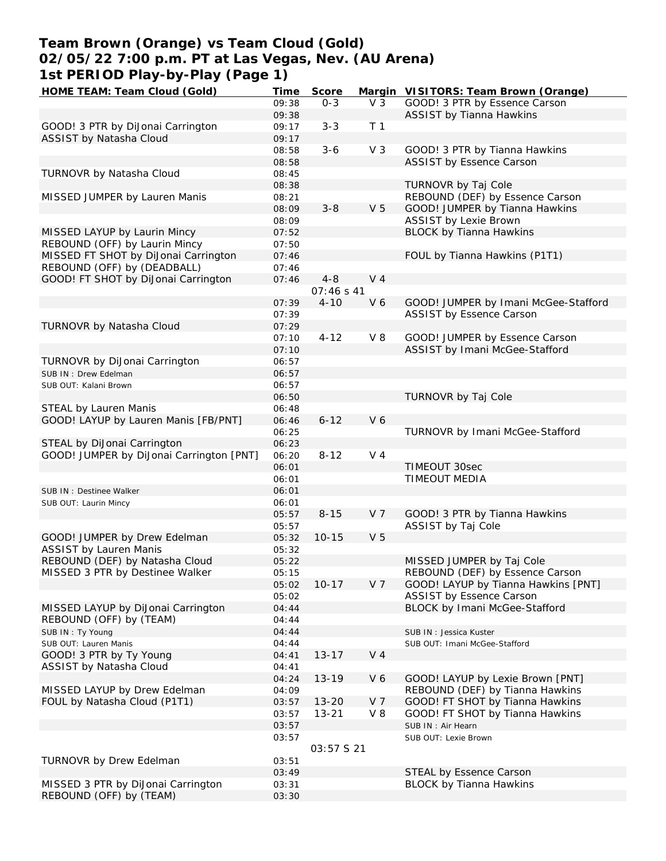## **Team Brown (Orange) vs Team Cloud (Gold) 02/05/22 7:00 p.m. PT at Las Vegas, Nev. (AU Arena) 1st PERIOD Play-by-Play (Page 1)**

| HOME TEAM: Team Cloud (Gold)             | Time  | Score      |                | Margin VISITORS: Team Brown (Orange) |
|------------------------------------------|-------|------------|----------------|--------------------------------------|
|                                          | 09:38 | $0 - 3$    | V <sub>3</sub> | GOOD! 3 PTR by Essence Carson        |
|                                          | 09:38 |            |                | <b>ASSIST by Tianna Hawkins</b>      |
| GOOD! 3 PTR by DiJonai Carrington        | 09:17 | $3 - 3$    | T <sub>1</sub> |                                      |
| ASSIST by Natasha Cloud                  | 09:17 |            |                |                                      |
|                                          | 08:58 | $3 - 6$    | V <sub>3</sub> | GOOD! 3 PTR by Tianna Hawkins        |
|                                          | 08:58 |            |                | ASSIST by Essence Carson             |
| TURNOVR by Natasha Cloud                 | 08:45 |            |                |                                      |
|                                          | 08:38 |            |                | TURNOVR by Taj Cole                  |
| MISSED JUMPER by Lauren Manis            | 08:21 |            |                | REBOUND (DEF) by Essence Carson      |
|                                          | 08:09 | $3 - 8$    | V <sub>5</sub> | GOOD! JUMPER by Tianna Hawkins       |
|                                          | 08:09 |            |                | <b>ASSIST by Lexie Brown</b>         |
|                                          |       |            |                |                                      |
| MISSED LAYUP by Laurin Mincy             | 07:52 |            |                | <b>BLOCK by Tianna Hawkins</b>       |
| REBOUND (OFF) by Laurin Mincy            | 07:50 |            |                |                                      |
| MISSED FT SHOT by DiJonai Carrington     | 07:46 |            |                | FOUL by Tianna Hawkins (P1T1)        |
| REBOUND (OFF) by (DEADBALL)              | 07:46 |            |                |                                      |
| GOOD! FT SHOT by DiJonai Carrington      | 07:46 | $4 - 8$    | V <sub>4</sub> |                                      |
|                                          |       | 07:46 s 41 |                |                                      |
|                                          | 07:39 | $4 - 10$   | V6             | GOOD! JUMPER by Imani McGee-Stafford |
|                                          | 07:39 |            |                | ASSIST by Essence Carson             |
| TURNOVR by Natasha Cloud                 | 07:29 |            |                |                                      |
|                                          | 07:10 | $4 - 12$   | $V_8$          | GOOD! JUMPER by Essence Carson       |
|                                          | 07:10 |            |                | ASSIST by Imani McGee-Stafford       |
| TURNOVR by DiJonai Carrington            | 06:57 |            |                |                                      |
| SUB IN: Drew Edelman                     | 06:57 |            |                |                                      |
| SUB OUT: Kalani Brown                    | 06:57 |            |                |                                      |
|                                          | 06:50 |            |                | TURNOVR by Taj Cole                  |
| STEAL by Lauren Manis                    | 06:48 |            |                |                                      |
|                                          |       |            |                |                                      |
| GOOD! LAYUP by Lauren Manis [FB/PNT]     | 06:46 | $6 - 12$   | V6             |                                      |
|                                          | 06:25 |            |                | TURNOVR by Imani McGee-Stafford      |
| STEAL by DiJonai Carrington              | 06:23 |            |                |                                      |
| GOOD! JUMPER by DiJonai Carrington [PNT] | 06:20 | $8 - 12$   | V <sub>4</sub> |                                      |
|                                          | 06:01 |            |                | TIMEOUT 30sec                        |
|                                          | 06:01 |            |                | TIMEOUT MEDIA                        |
| SUB IN: Destinee Walker                  | 06:01 |            |                |                                      |
| SUB OUT: Laurin Mincy                    | 06:01 |            |                |                                      |
|                                          | 05:57 | $8 - 15$   | V <sub>7</sub> | GOOD! 3 PTR by Tianna Hawkins        |
|                                          | 05:57 |            |                | ASSIST by Taj Cole                   |
| GOOD! JUMPER by Drew Edelman             | 05:32 | $10 - 15$  | V <sub>5</sub> |                                      |
| <b>ASSIST by Lauren Manis</b>            | 05:32 |            |                |                                      |
| REBOUND (DEF) by Natasha Cloud           | 05:22 |            |                | MISSED JUMPER by Taj Cole            |
| MISSED 3 PTR by Destinee Walker          | 05:15 |            |                | REBOUND (DEF) by Essence Carson      |
|                                          | 05:02 | $10 - 17$  | V 7            | GOOD! LAYUP by Tianna Hawkins [PNT]  |
|                                          | 05:02 |            |                | <b>ASSIST by Essence Carson</b>      |
| MISSED LAYUP by DiJonai Carrington       | 04:44 |            |                | BLOCK by Imani McGee-Stafford        |
| REBOUND (OFF) by (TEAM)                  | 04:44 |            |                |                                      |
|                                          |       |            |                |                                      |
| SUB IN: Ty Young                         | 04:44 |            |                | SUB IN: Jessica Kuster               |
| SUB OUT: Lauren Manis                    | 04:44 |            |                | SUB OUT: Imani McGee-Stafford        |
| GOOD! 3 PTR by Ty Young                  | 04:41 | $13 - 17$  | $V_4$          |                                      |
| ASSIST by Natasha Cloud                  | 04:41 |            |                |                                      |
|                                          | 04:24 | $13 - 19$  | V6             | GOOD! LAYUP by Lexie Brown [PNT]     |
| MISSED LAYUP by Drew Edelman             | 04:09 |            |                | REBOUND (DEF) by Tianna Hawkins      |
| FOUL by Natasha Cloud (P1T1)             | 03:57 | $13 - 20$  | V 7            | GOOD! FT SHOT by Tianna Hawkins      |
|                                          | 03:57 | $13 - 21$  | $V_8$          | GOOD! FT SHOT by Tianna Hawkins      |
|                                          | 03:57 |            |                | SUB IN : Air Hearn                   |
|                                          | 03:57 |            |                | SUB OUT: Lexie Brown                 |
|                                          |       | 03:57 S 21 |                |                                      |
| TURNOVR by Drew Edelman                  | 03:51 |            |                |                                      |
|                                          | 03:49 |            |                | STEAL by Essence Carson              |
| MISSED 3 PTR by DiJonai Carrington       | 03:31 |            |                | <b>BLOCK by Tianna Hawkins</b>       |
| REBOUND (OFF) by (TEAM)                  | 03:30 |            |                |                                      |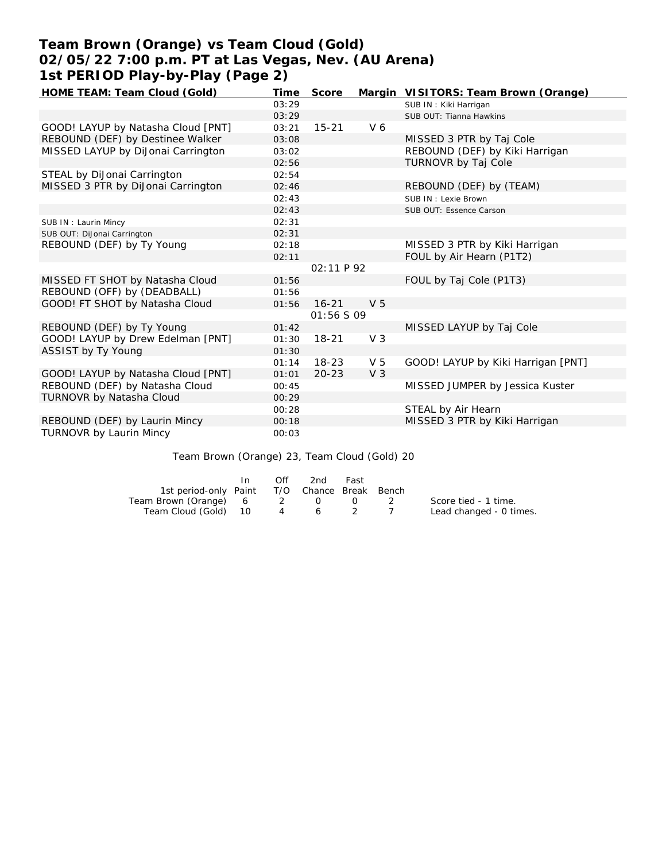# **Team Brown (Orange) vs Team Cloud (Gold) 02/05/22 7:00 p.m. PT at Las Vegas, Nev. (AU Arena) 1st PERIOD Play-by-Play (Page 2)**

| HOME TEAM: Team Cloud (Gold)<br>Time        | Score      |                | Margin VISITORS: Team Brown (Orange) |
|---------------------------------------------|------------|----------------|--------------------------------------|
| 03:29                                       |            |                | SUB IN: Kiki Harrigan                |
| 03:29                                       |            |                | SUB OUT: Tianna Hawkins              |
| GOOD! LAYUP by Natasha Cloud [PNT]<br>03:21 | $15 - 21$  | V 6            |                                      |
| REBOUND (DEF) by Destinee Walker<br>03:08   |            |                | MISSED 3 PTR by Taj Cole             |
| MISSED LAYUP by DiJonai Carrington<br>03:02 |            |                | REBOUND (DEF) by Kiki Harrigan       |
| 02:56                                       |            |                | TURNOVR by Taj Cole                  |
| STEAL by DiJonai Carrington<br>02:54        |            |                |                                      |
| MISSED 3 PTR by DiJonai Carrington<br>02:46 |            |                | REBOUND (DEF) by (TEAM)              |
| 02:43                                       |            |                | SUB IN : Lexie Brown                 |
| 02:43                                       |            |                | SUB OUT: Essence Carson              |
| 02:31<br>SUB IN: Laurin Mincy               |            |                |                                      |
| SUB OUT: DiJonai Carrington<br>02:31        |            |                |                                      |
| REBOUND (DEF) by Ty Young<br>02:18          |            |                | MISSED 3 PTR by Kiki Harrigan        |
| 02:11                                       |            |                | FOUL by Air Hearn (P1T2)             |
|                                             | 02:11P92   |                |                                      |
| MISSED FT SHOT by Natasha Cloud<br>01:56    |            |                | FOUL by Taj Cole (P1T3)              |
| REBOUND (OFF) by (DEADBALL)<br>01:56        |            |                |                                      |
| GOOD! FT SHOT by Natasha Cloud<br>01:56     | $16 - 21$  | V <sub>5</sub> |                                      |
|                                             | 01:56 S 09 |                |                                      |
| REBOUND (DEF) by Ty Young<br>01:42          |            |                | MISSED LAYUP by Taj Cole             |
| GOOD! LAYUP by Drew Edelman [PNT]<br>01:30  | $18 - 21$  | V <sub>3</sub> |                                      |
| ASSIST by Ty Young<br>01:30                 |            |                |                                      |
| 01:14                                       | $18 - 23$  | V <sub>5</sub> | GOOD! LAYUP by Kiki Harrigan [PNT]   |
| GOOD! LAYUP by Natasha Cloud [PNT]<br>01:01 | $20 - 23$  | V <sub>3</sub> |                                      |
| REBOUND (DEF) by Natasha Cloud<br>00:45     |            |                | MISSED JUMPER by Jessica Kuster      |
| TURNOVR by Natasha Cloud<br>00:29           |            |                |                                      |
| 00:28                                       |            |                | STEAL by Air Hearn                   |
| REBOUND (DEF) by Laurin Mincy<br>00:18      |            |                | MISSED 3 PTR by Kiki Harrigan        |
| TURNOVR by Laurin Mincy<br>00:03            |            |                |                                      |

Team Brown (Orange) 23, Team Cloud (Gold) 20

|                                              | In In | Off | -2nd    | Fast                                          |                 |                         |
|----------------------------------------------|-------|-----|---------|-----------------------------------------------|-----------------|-------------------------|
| 1st period-only Paint T/O Chance Break Bench |       |     |         |                                               |                 |                         |
| Team Brown (Orange) 6 2 0                    |       |     |         | $\left( \begin{array}{c} \end{array} \right)$ | $\sim$ 2 $\sim$ | Score tied - 1 time.    |
| Team Cloud (Gold) 10                         |       |     | 4 6 2 7 |                                               |                 | Lead changed - 0 times. |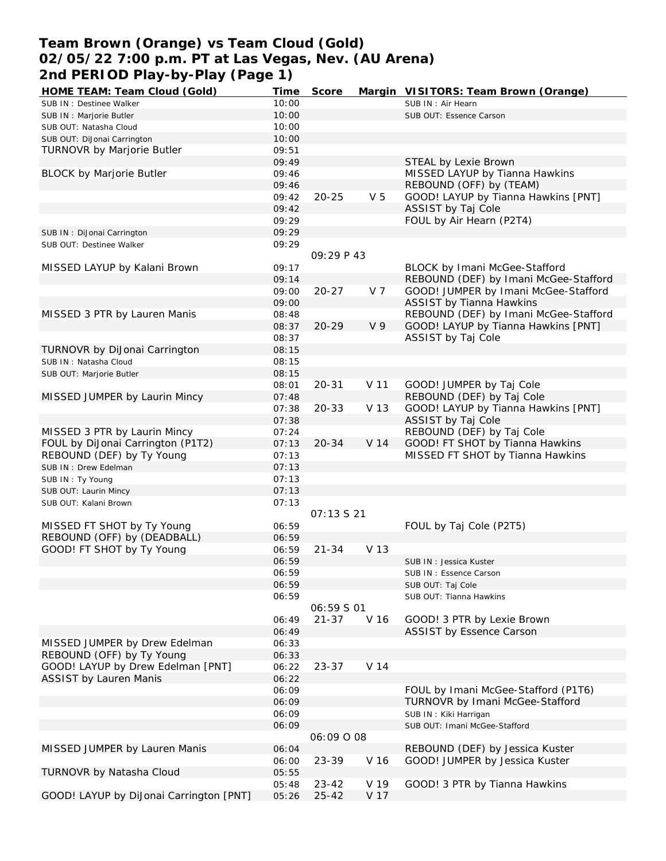## **Team Brown (Orange) vs Team Cloud (Gold) 02/05/22 7:00 p.m. PT at Las Vegas, Nev. (AU Arena) 2nd PERIOD Play-by-Play (Page 1)**

| HOME TEAM: Team Cloud (Gold)            | Time  | Score             |                | Margin VISITORS: Team Brown (Orange)                                   |
|-----------------------------------------|-------|-------------------|----------------|------------------------------------------------------------------------|
| SUB IN : Destinee Walker                | 10:00 |                   |                | SUB IN: Air Hearn                                                      |
| SUB IN : Marjorie Butler                | 10:00 |                   |                | SUB OUT: Essence Carson                                                |
| SUB OUT: Natasha Cloud                  | 10:00 |                   |                |                                                                        |
| SUB OUT: DiJonai Carrington             | 10:00 |                   |                |                                                                        |
| TURNOVR by Marjorie Butler              | 09:51 |                   |                |                                                                        |
|                                         | 09:49 |                   |                | STEAL by Lexie Brown                                                   |
| <b>BLOCK by Marjorie Butler</b>         | 09:46 |                   |                | MISSED LAYUP by Tianna Hawkins                                         |
|                                         | 09:46 |                   |                | REBOUND (OFF) by (TEAM)                                                |
|                                         | 09:42 | $20 - 25$         | V <sub>5</sub> | GOOD! LAYUP by Tianna Hawkins [PNT]                                    |
|                                         | 09:42 |                   |                | ASSIST by Taj Cole                                                     |
|                                         |       |                   |                |                                                                        |
|                                         | 09:29 |                   |                | FOUL by Air Hearn (P2T4)                                               |
| SUB IN: DiJonai Carrington              | 09:29 |                   |                |                                                                        |
| SUB OUT: Destinee Walker                | 09:29 |                   |                |                                                                        |
|                                         |       | 09:29 P 43        |                |                                                                        |
| MISSED LAYUP by Kalani Brown            | 09:17 |                   |                | <b>BLOCK by Imani McGee-Stafford</b>                                   |
|                                         | 09:14 |                   |                | REBOUND (DEF) by Imani McGee-Stafford                                  |
|                                         | 09:00 | $20 - 27$         | V 7            | GOOD! JUMPER by Imani McGee-Stafford                                   |
|                                         | 09:00 |                   |                | <b>ASSIST by Tianna Hawkins</b>                                        |
| MISSED 3 PTR by Lauren Manis            | 08:48 |                   |                | REBOUND (DEF) by Imani McGee-Stafford                                  |
|                                         | 08:37 | $20 - 29$         | V <sub>9</sub> | GOOD! LAYUP by Tianna Hawkins [PNT]                                    |
|                                         | 08:37 |                   |                | ASSIST by Taj Cole                                                     |
| TURNOVR by DiJonai Carrington           | 08:15 |                   |                |                                                                        |
| SUB IN: Natasha Cloud                   | 08:15 |                   |                |                                                                        |
| SUB OUT: Marjorie Butler                | 08:15 |                   |                |                                                                        |
|                                         | 08:01 | $20 - 31$         | V 11           | GOOD! JUMPER by Taj Cole                                               |
| MISSED JUMPER by Laurin Mincy           | 07:48 |                   |                | REBOUND (DEF) by Taj Cole                                              |
|                                         | 07:38 | $20 - 33$         | V 13           | GOOD! LAYUP by Tianna Hawkins [PNT]                                    |
|                                         | 07:38 |                   |                | ASSIST by Taj Cole                                                     |
| MISSED 3 PTR by Laurin Mincy            | 07:24 |                   |                | REBOUND (DEF) by Taj Cole                                              |
| FOUL by DiJonai Carrington (P1T2)       |       |                   |                | GOOD! FT SHOT by Tianna Hawkins                                        |
|                                         | 07:13 | $20 - 34$         | V 14           |                                                                        |
| REBOUND (DEF) by Ty Young               | 07:13 |                   |                | MISSED FT SHOT by Tianna Hawkins                                       |
| SUB IN : Drew Edelman                   | 07:13 |                   |                |                                                                        |
| SUB IN: Ty Young                        | 07:13 |                   |                |                                                                        |
| SUB OUT: Laurin Mincy                   | 07:13 |                   |                |                                                                        |
| SUB OUT: Kalani Brown                   | 07:13 |                   |                |                                                                        |
|                                         |       | 07:13521          |                |                                                                        |
| MISSED FT SHOT by Ty Young              | 06:59 |                   |                | FOUL by Taj Cole (P2T5)                                                |
| REBOUND (OFF) by (DEADBALL)             | 06:59 |                   |                |                                                                        |
| GOOD! FT SHOT by Ty Young               | 06:59 | $21 - 34$         | V 13           |                                                                        |
|                                         | 06:59 |                   |                | SUB IN: Jessica Kuster                                                 |
|                                         | 06:59 |                   |                | SUB IN: Essence Carson                                                 |
|                                         | 06:59 |                   |                | SUB OUT: Taj Cole                                                      |
|                                         | 06:59 |                   |                | SUB OUT: Tianna Hawkins                                                |
|                                         |       | <i>06:59 S 01</i> |                |                                                                        |
|                                         | 06:49 | $21 - 37$         | V 16           | GOOD! 3 PTR by Lexie Brown                                             |
|                                         | 06:49 |                   |                | <b>ASSIST by Essence Carson</b>                                        |
| MISSED JUMPER by Drew Edelman           | 06:33 |                   |                |                                                                        |
| REBOUND (OFF) by Ty Young               | 06:33 |                   |                |                                                                        |
| GOOD! LAYUP by Drew Edelman [PNT]       | 06:22 | $23 - 37$         | V 14           |                                                                        |
| <b>ASSIST by Lauren Manis</b>           | 06:22 |                   |                |                                                                        |
|                                         |       |                   |                |                                                                        |
|                                         | 06:09 |                   |                | FOUL by Imani McGee-Stafford (P1T6)<br>TURNOVR by Imani McGee-Stafford |
|                                         | 06:09 |                   |                |                                                                        |
|                                         | 06:09 |                   |                | SUB IN: Kiki Harrigan                                                  |
|                                         | 06:09 |                   |                | SUB OUT: Imani McGee-Stafford                                          |
|                                         |       | 06:09 0 08        |                |                                                                        |
| MISSED JUMPER by Lauren Manis           | 06:04 |                   |                | REBOUND (DEF) by Jessica Kuster                                        |
|                                         | 06:00 | 23-39             | V 16           | GOOD! JUMPER by Jessica Kuster                                         |
| TURNOVR by Natasha Cloud                | 05:55 |                   |                |                                                                        |
|                                         | 05:48 | $23 - 42$         | V 19           | GOOD! 3 PTR by Tianna Hawkins                                          |
| GOOD! LAYUP by DiJonai Carrington [PNT] | 05:26 | $25 - 42$         | V 17           |                                                                        |
|                                         |       |                   |                |                                                                        |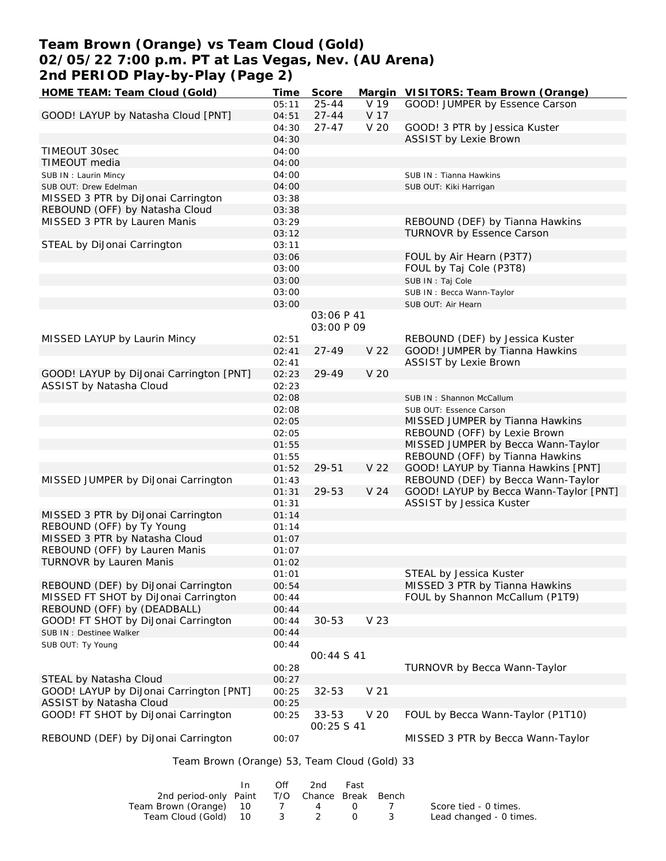# **Team Brown (Orange) vs Team Cloud (Gold) 02/05/22 7:00 p.m. PT at Las Vegas, Nev. (AU Arena) 2nd PERIOD Play-by-Play (Page 2)**

| HOME TEAM: Team Cloud (Gold)                 | Time  | Score      | Margin          | VISITORS: Team Brown (Orange)          |
|----------------------------------------------|-------|------------|-----------------|----------------------------------------|
|                                              | 05:11 | $25 - 44$  | V 19            | GOOD! JUMPER by Essence Carson         |
| GOOD! LAYUP by Natasha Cloud [PNT]           | 04:51 | $27 - 44$  | V 17            |                                        |
|                                              | 04:30 | $27 - 47$  | V 20            | GOOD! 3 PTR by Jessica Kuster          |
|                                              | 04:30 |            |                 | <b>ASSIST by Lexie Brown</b>           |
| TIMEOUT 30sec                                | 04:00 |            |                 |                                        |
| TIMEOUT media                                | 04:00 |            |                 |                                        |
|                                              |       |            |                 |                                        |
| SUB IN: Laurin Mincy                         | 04:00 |            |                 | SUB IN: Tianna Hawkins                 |
| SUB OUT: Drew Edelman                        | 04:00 |            |                 | SUB OUT: Kiki Harrigan                 |
| MISSED 3 PTR by DiJonai Carrington           | 03:38 |            |                 |                                        |
| REBOUND (OFF) by Natasha Cloud               | 03:38 |            |                 |                                        |
| MISSED 3 PTR by Lauren Manis                 | 03:29 |            |                 | REBOUND (DEF) by Tianna Hawkins        |
|                                              | 03:12 |            |                 | TURNOVR by Essence Carson              |
| STEAL by DiJonai Carrington                  | 03:11 |            |                 |                                        |
|                                              | 03:06 |            |                 | FOUL by Air Hearn (P3T7)               |
|                                              | 03:00 |            |                 | FOUL by Taj Cole (P3T8)                |
|                                              | 03:00 |            |                 | SUB IN: Taj Cole                       |
|                                              | 03:00 |            |                 | SUB IN: Becca Wann-Taylor              |
|                                              | 03:00 |            |                 | SUB OUT: Air Hearn                     |
|                                              |       | 03:06 P 41 |                 |                                        |
|                                              |       |            |                 |                                        |
|                                              |       | 03:00 P 09 |                 |                                        |
| MISSED LAYUP by Laurin Mincy                 | 02:51 |            |                 | REBOUND (DEF) by Jessica Kuster        |
|                                              | 02:41 | $27 - 49$  | V 22            | GOOD! JUMPER by Tianna Hawkins         |
|                                              | 02:41 |            |                 | <b>ASSIST by Lexie Brown</b>           |
| GOOD! LAYUP by DiJonai Carrington [PNT]      | 02:23 | 29-49      | V <sub>20</sub> |                                        |
| ASSIST by Natasha Cloud                      | 02:23 |            |                 |                                        |
|                                              | 02:08 |            |                 | SUB IN: Shannon McCallum               |
|                                              | 02:08 |            |                 | SUB OUT: Essence Carson                |
|                                              | 02:05 |            |                 | MISSED JUMPER by Tianna Hawkins        |
|                                              | 02:05 |            |                 | REBOUND (OFF) by Lexie Brown           |
|                                              | 01:55 |            |                 | MISSED JUMPER by Becca Wann-Taylor     |
|                                              | 01:55 |            |                 | REBOUND (OFF) by Tianna Hawkins        |
|                                              |       |            |                 |                                        |
|                                              | 01:52 | 29-51      | V 22            | GOOD! LAYUP by Tianna Hawkins [PNT]    |
| MISSED JUMPER by DiJonai Carrington          | 01:43 |            |                 | REBOUND (DEF) by Becca Wann-Taylor     |
|                                              | 01:31 | 29-53      | V 24            | GOOD! LAYUP by Becca Wann-Taylor [PNT] |
|                                              | 01:31 |            |                 | ASSIST by Jessica Kuster               |
| MISSED 3 PTR by DiJonai Carrington           | 01:14 |            |                 |                                        |
| REBOUND (OFF) by Ty Young                    | 01:14 |            |                 |                                        |
| MISSED 3 PTR by Natasha Cloud                | 01:07 |            |                 |                                        |
| REBOUND (OFF) by Lauren Manis                | 01:07 |            |                 |                                        |
| <b>TURNOVR by Lauren Manis</b>               | 01:02 |            |                 |                                        |
|                                              | 01:01 |            |                 | STEAL by Jessica Kuster                |
| REBOUND (DEF) by DiJonai Carrington          | 00:54 |            |                 | MISSED 3 PTR by Tianna Hawkins         |
| MISSED FT SHOT by DiJonai Carrington         | 00:44 |            |                 | FOUL by Shannon McCallum (P1T9)        |
| REBOUND (OFF) by (DEADBALL)                  |       |            |                 |                                        |
|                                              | 00:44 |            |                 |                                        |
| GOOD! FT SHOT by DiJonai Carrington          | 00:44 | $30 - 53$  | V 23            |                                        |
| SUB IN : Destinee Walker                     | 00:44 |            |                 |                                        |
| SUB OUT: Ty Young                            | 00:44 |            |                 |                                        |
|                                              |       | 00:44 S 41 |                 |                                        |
|                                              | 00:28 |            |                 | TURNOVR by Becca Wann-Taylor           |
| STEAL by Natasha Cloud                       | 00:27 |            |                 |                                        |
| GOOD! LAYUP by DiJonai Carrington [PNT]      | 00:25 | $32 - 53$  | V 21            |                                        |
| ASSIST by Natasha Cloud                      | 00:25 |            |                 |                                        |
| GOOD! FT SHOT by DiJonai Carrington          | 00:25 | $33 - 53$  | V 20            | FOUL by Becca Wann-Taylor (P1T10)      |
|                                              |       | 00:25 S 41 |                 |                                        |
| REBOUND (DEF) by DiJonai Carrington          | 00:07 |            |                 | MISSED 3 PTR by Becca Wann-Taylor      |
|                                              |       |            |                 |                                        |
| Team Brown (Orange) 53, Team Cloud (Gold) 33 |       |            |                 |                                        |
|                                              |       |            |                 |                                        |
|                                              |       |            |                 |                                        |

|                                              | $\bigcap_{i=1}^n$ | 2nd | Fast      |                         |
|----------------------------------------------|-------------------|-----|-----------|-------------------------|
| 2nd period-only Paint T/O Chance Break Bench |                   |     |           |                         |
| Team Brown (Orange) 10                       |                   | 7 4 | $\bigcup$ | Score tied - 0 times.   |
| Team Cloud (Gold) 10 3 2 0                   |                   |     |           | Lead changed - 0 times. |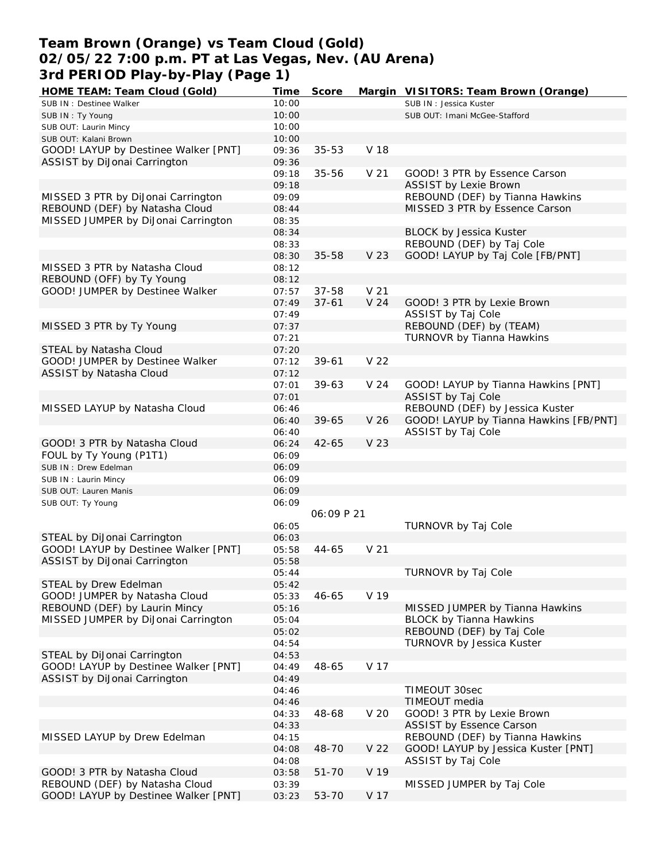## **Team Brown (Orange) vs Team Cloud (Gold) 02/05/22 7:00 p.m. PT at Las Vegas, Nev. (AU Arena) 3rd PERIOD Play-by-Play (Page 1)**

| HOME TEAM: Team Cloud (Gold)         | <u>Time</u> | Score      |                 | Margin VISITORS: Team Brown (Orange)   |
|--------------------------------------|-------------|------------|-----------------|----------------------------------------|
| SUB IN : Destinee Walker             | 10:00       |            |                 | SUB IN: Jessica Kuster                 |
| SUB IN: Ty Young                     | 10:00       |            |                 | SUB OUT: Imani McGee-Stafford          |
| SUB OUT: Laurin Mincy                | 10:00       |            |                 |                                        |
| SUB OUT: Kalani Brown                | 10:00       |            |                 |                                        |
| GOOD! LAYUP by Destinee Walker [PNT] | 09:36       | $35 - 53$  | V 18            |                                        |
| ASSIST by DiJonai Carrington         | 09:36       |            |                 |                                        |
|                                      | 09:18       | 35-56      | V <sub>21</sub> | GOOD! 3 PTR by Essence Carson          |
|                                      | 09:18       |            |                 | <b>ASSIST by Lexie Brown</b>           |
| MISSED 3 PTR by DiJonai Carrington   | 09:09       |            |                 | REBOUND (DEF) by Tianna Hawkins        |
| REBOUND (DEF) by Natasha Cloud       | 08:44       |            |                 | MISSED 3 PTR by Essence Carson         |
| MISSED JUMPER by DiJonai Carrington  | 08:35       |            |                 |                                        |
|                                      | 08:34       |            |                 | <b>BLOCK by Jessica Kuster</b>         |
|                                      |             |            |                 |                                        |
|                                      | 08:33       |            |                 | REBOUND (DEF) by Taj Cole              |
|                                      | 08:30       | $35 - 58$  | V 23            | GOOD! LAYUP by Taj Cole [FB/PNT]       |
| MISSED 3 PTR by Natasha Cloud        | 08:12       |            |                 |                                        |
| REBOUND (OFF) by Ty Young            | 08:12       |            |                 |                                        |
| GOOD! JUMPER by Destinee Walker      | 07:57       | $37 - 58$  | V <sub>21</sub> |                                        |
|                                      | 07:49       | $37 - 61$  | V <sub>24</sub> | GOOD! 3 PTR by Lexie Brown             |
|                                      | 07:49       |            |                 | ASSIST by Taj Cole                     |
| MISSED 3 PTR by Ty Young             | 07:37       |            |                 | REBOUND (DEF) by (TEAM)                |
|                                      | 07:21       |            |                 | TURNOVR by Tianna Hawkins              |
| STEAL by Natasha Cloud               | 07:20       |            |                 |                                        |
| GOOD! JUMPER by Destinee Walker      | 07:12       | $39 - 61$  | V <sub>22</sub> |                                        |
| ASSIST by Natasha Cloud              | 07:12       |            |                 |                                        |
|                                      | 07:01       | $39 - 63$  | V 24            | GOOD! LAYUP by Tianna Hawkins [PNT]    |
|                                      | 07:01       |            |                 | ASSIST by Taj Cole                     |
| MISSED LAYUP by Natasha Cloud        | 06:46       |            |                 | REBOUND (DEF) by Jessica Kuster        |
|                                      | 06:40       | $39 - 65$  | V <sub>26</sub> | GOOD! LAYUP by Tianna Hawkins [FB/PNT] |
|                                      | 06:40       |            |                 | ASSIST by Taj Cole                     |
| GOOD! 3 PTR by Natasha Cloud         | 06:24       | $42 - 65$  | V 23            |                                        |
| FOUL by Ty Young (P1T1)              | 06:09       |            |                 |                                        |
| SUB IN : Drew Edelman                | 06:09       |            |                 |                                        |
| SUB IN: Laurin Mincy                 | 06:09       |            |                 |                                        |
| SUB OUT: Lauren Manis                | 06:09       |            |                 |                                        |
| SUB OUT: Ty Young                    | 06:09       |            |                 |                                        |
|                                      |             | 06:09 P 21 |                 |                                        |
|                                      | 06:05       |            |                 | TURNOVR by Taj Cole                    |
| STEAL by DiJonai Carrington          | 06:03       |            |                 |                                        |
| GOOD! LAYUP by Destinee Walker [PNT] | 05:58       | $44 - 65$  | V <sub>21</sub> |                                        |
| ASSIST by DiJonai Carrington         | 05:58       |            |                 |                                        |
|                                      |             |            |                 |                                        |
|                                      | 05:44       |            |                 | TURNOVR by Taj Cole                    |
| STEAL by Drew Edelman                | 05:42       |            |                 |                                        |
| GOOD! JUMPER by Natasha Cloud        | 05:33       | 46-65      | V 19            |                                        |
| REBOUND (DEF) by Laurin Mincy        | 05:16       |            |                 | MISSED JUMPER by Tianna Hawkins        |
| MISSED JUMPER by DiJonai Carrington  | 05:04       |            |                 | <b>BLOCK by Tianna Hawkins</b>         |
|                                      | 05:02       |            |                 | REBOUND (DEF) by Taj Cole              |
|                                      | 04:54       |            |                 | TURNOVR by Jessica Kuster              |
| STEAL by DiJonai Carrington          | 04:53       |            |                 |                                        |
| GOOD! LAYUP by Destinee Walker [PNT] | 04:49       | 48-65      | V 17            |                                        |
| ASSIST by DiJonai Carrington         | 04:49       |            |                 |                                        |
|                                      | 04:46       |            |                 | TIMEOUT 30sec                          |
|                                      | 04:46       |            |                 | TIMEOUT media                          |
|                                      | 04:33       | 48-68      | V 20            | GOOD! 3 PTR by Lexie Brown             |
|                                      | 04:33       |            |                 | ASSIST by Essence Carson               |
| MISSED LAYUP by Drew Edelman         | 04:15       |            |                 | REBOUND (DEF) by Tianna Hawkins        |
|                                      | 04:08       | 48-70      | V 22            | GOOD! LAYUP by Jessica Kuster [PNT]    |
|                                      | 04:08       |            |                 | ASSIST by Taj Cole                     |
| GOOD! 3 PTR by Natasha Cloud         | 03:58       | $51 - 70$  | V 19            |                                        |
| REBOUND (DEF) by Natasha Cloud       | 03:39       |            |                 | MISSED JUMPER by Taj Cole              |
| GOOD! LAYUP by Destinee Walker [PNT] | 03:23       | 53-70      | V 17            |                                        |
|                                      |             |            |                 |                                        |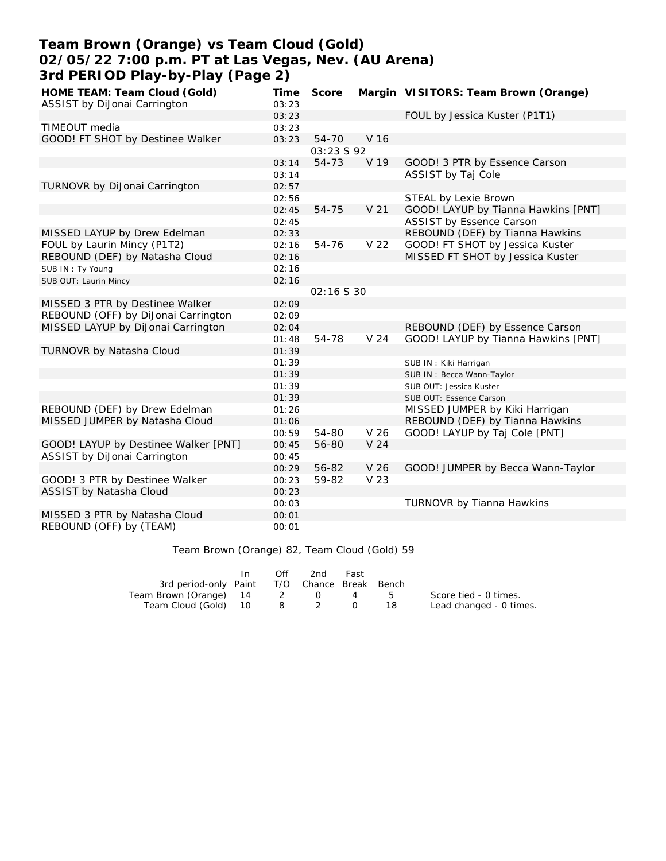## **Team Brown (Orange) vs Team Cloud (Gold) 02/05/22 7:00 p.m. PT at Las Vegas, Nev. (AU Arena) 3rd PERIOD Play-by-Play (Page 2)**

| HOME TEAM: Team Cloud (Gold)         | Time  | Score      |                 | Margin VISITORS: Team Brown (Orange) |
|--------------------------------------|-------|------------|-----------------|--------------------------------------|
| ASSIST by DiJonai Carrington         | 03:23 |            |                 |                                      |
|                                      | 03:23 |            |                 | FOUL by Jessica Kuster (P1T1)        |
| TIMEOUT media                        | 03:23 |            |                 |                                      |
| GOOD! FT SHOT by Destinee Walker     | 03:23 | $54 - 70$  | V 16            |                                      |
|                                      |       | 03:23 S 92 |                 |                                      |
|                                      | 03:14 | 54-73      | V 19            | GOOD! 3 PTR by Essence Carson        |
|                                      | 03:14 |            |                 | ASSIST by Taj Cole                   |
| TURNOVR by DiJonai Carrington        | 02:57 |            |                 |                                      |
|                                      | 02:56 |            |                 | STEAL by Lexie Brown                 |
|                                      | 02:45 | 54-75      | V <sub>21</sub> | GOOD! LAYUP by Tianna Hawkins [PNT]  |
|                                      | 02:45 |            |                 | <b>ASSIST by Essence Carson</b>      |
| MISSED LAYUP by Drew Edelman         | 02:33 |            |                 | REBOUND (DEF) by Tianna Hawkins      |
| FOUL by Laurin Mincy (P1T2)          | 02:16 | 54-76      | V 22            | GOOD! FT SHOT by Jessica Kuster      |
| REBOUND (DEF) by Natasha Cloud       | 02:16 |            |                 | MISSED FT SHOT by Jessica Kuster     |
| SUB IN: Ty Young                     | 02:16 |            |                 |                                      |
| SUB OUT: Laurin Mincy                | 02:16 |            |                 |                                      |
|                                      |       | 02:16 S 30 |                 |                                      |
| MISSED 3 PTR by Destinee Walker      | 02:09 |            |                 |                                      |
| REBOUND (OFF) by DiJonai Carrington  | 02:09 |            |                 |                                      |
| MISSED LAYUP by DiJonai Carrington   | 02:04 |            |                 | REBOUND (DEF) by Essence Carson      |
|                                      | 01:48 | 54-78      | V <sub>24</sub> | GOOD! LAYUP by Tianna Hawkins [PNT]  |
| TURNOVR by Natasha Cloud             | 01:39 |            |                 |                                      |
|                                      | 01:39 |            |                 | SUB IN: Kiki Harrigan                |
|                                      | 01:39 |            |                 | SUB IN: Becca Wann-Taylor            |
|                                      | 01:39 |            |                 | SUB OUT: Jessica Kuster              |
|                                      | 01:39 |            |                 | SUB OUT: Essence Carson              |
| REBOUND (DEF) by Drew Edelman        | 01:26 |            |                 | MISSED JUMPER by Kiki Harrigan       |
| MISSED JUMPER by Natasha Cloud       | 01:06 |            |                 | REBOUND (DEF) by Tianna Hawkins      |
|                                      | 00:59 | 54-80      | V <sub>26</sub> | GOOD! LAYUP by Taj Cole [PNT]        |
| GOOD! LAYUP by Destinee Walker [PNT] | 00:45 | 56-80      | V <sub>24</sub> |                                      |
| ASSIST by DiJonai Carrington         | 00:45 |            |                 |                                      |
|                                      | 00:29 | 56-82      | V <sub>26</sub> | GOOD! JUMPER by Becca Wann-Taylor    |
| GOOD! 3 PTR by Destinee Walker       | 00:23 | 59-82      | V 23            |                                      |
| ASSIST by Natasha Cloud              | 00:23 |            |                 |                                      |
|                                      | 00:03 |            |                 | TURNOVR by Tianna Hawkins            |
| MISSED 3 PTR by Natasha Cloud        | 00:01 |            |                 |                                      |
| REBOUND (OFF) by (TEAM)              | 00:01 |            |                 |                                      |

Team Brown (Orange) 82, Team Cloud (Gold) 59

|                                              | In In | Off | 2nd        | Fast |                         |
|----------------------------------------------|-------|-----|------------|------|-------------------------|
| 3rd period-only Paint T/O Chance Break Bench |       |     |            |      |                         |
| Team Brown (Orange) 14 2                     |       |     | $\Omega$ 4 |      | Score tied - 0 times.   |
| Team Cloud (Gold) 10                         |       |     | 8 2 0      |      | Lead changed - 0 times. |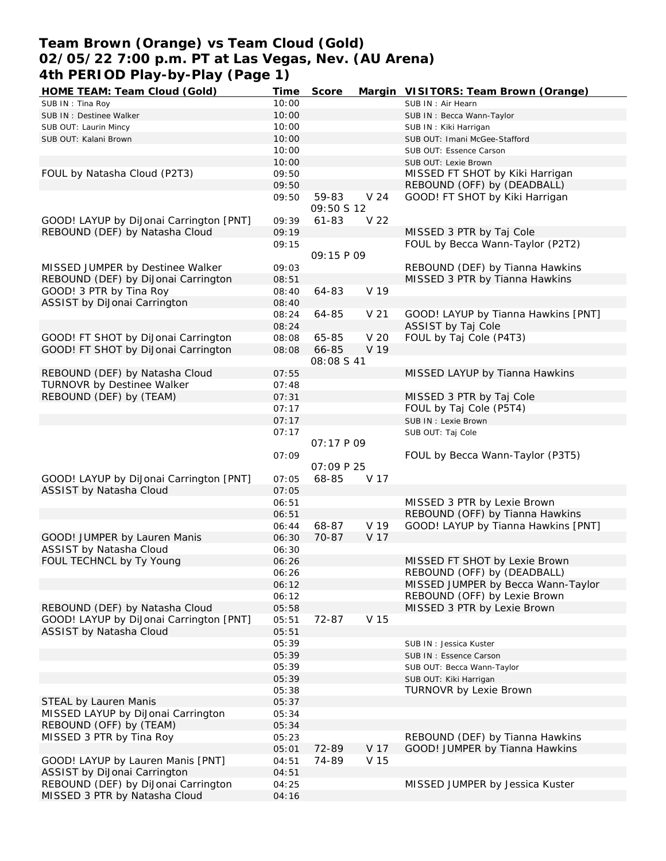### **Team Brown (Orange) vs Team Cloud (Gold) 02/05/22 7:00 p.m. PT at Las Vegas, Nev. (AU Arena) 4th PERIOD Play-by-Play (Page 1)**

| HOME TEAM: Team Cloud (Gold)                                         | Time  | Score             |                 | Margin VISITORS: Team Brown (Orange) |
|----------------------------------------------------------------------|-------|-------------------|-----------------|--------------------------------------|
| SUB IN: Tina Roy                                                     | 10:00 |                   |                 | SUB IN: Air Hearn                    |
| SUB IN : Destinee Walker                                             | 10:00 |                   |                 | SUB IN: Becca Wann-Taylor            |
| SUB OUT: Laurin Mincy                                                | 10:00 |                   |                 | SUB IN: Kiki Harrigan                |
| SUB OUT: Kalani Brown                                                | 10:00 |                   |                 | SUB OUT: Imani McGee-Stafford        |
|                                                                      | 10:00 |                   |                 | SUB OUT: Essence Carson              |
|                                                                      | 10:00 |                   |                 | SUB OUT: Lexie Brown                 |
| FOUL by Natasha Cloud (P2T3)                                         | 09:50 |                   |                 | MISSED FT SHOT by Kiki Harrigan      |
|                                                                      | 09:50 |                   |                 | REBOUND (OFF) by (DEADBALL)          |
|                                                                      | 09:50 | 59-83             | V <sub>24</sub> | GOOD! FT SHOT by Kiki Harrigan       |
|                                                                      |       | 09:50 \$ 12       |                 |                                      |
| GOOD! LAYUP by DiJonai Carrington [PNT]                              | 09:39 |                   | V 22            |                                      |
|                                                                      |       | 61-83             |                 | MISSED 3 PTR by Taj Cole             |
| REBOUND (DEF) by Natasha Cloud                                       | 09:19 |                   |                 |                                      |
|                                                                      | 09:15 |                   |                 | FOUL by Becca Wann-Taylor (P2T2)     |
|                                                                      |       | 09:15 P 09        |                 |                                      |
| MISSED JUMPER by Destinee Walker                                     | 09:03 |                   |                 | REBOUND (DEF) by Tianna Hawkins      |
| REBOUND (DEF) by DiJonai Carrington                                  | 08:51 |                   |                 | MISSED 3 PTR by Tianna Hawkins       |
| GOOD! 3 PTR by Tina Roy                                              | 08:40 | 64-83             | V 19            |                                      |
| ASSIST by DiJonai Carrington                                         | 08:40 |                   |                 |                                      |
|                                                                      | 08:24 | 64-85             | V <sub>21</sub> | GOOD! LAYUP by Tianna Hawkins [PNT]  |
|                                                                      | 08:24 |                   |                 | ASSIST by Taj Cole                   |
| GOOD! FT SHOT by DiJonai Carrington                                  | 08:08 | 65-85             | V 20            | FOUL by Taj Cole (P4T3)              |
| GOOD! FT SHOT by DiJonai Carrington                                  | 08:08 | 66-85             | V 19            |                                      |
|                                                                      |       | <i>08:08 S 41</i> |                 |                                      |
| REBOUND (DEF) by Natasha Cloud                                       | 07:55 |                   |                 | MISSED LAYUP by Tianna Hawkins       |
| <b>TURNOVR by Destinee Walker</b>                                    | 07:48 |                   |                 |                                      |
| REBOUND (DEF) by (TEAM)                                              | 07:31 |                   |                 | MISSED 3 PTR by Taj Cole             |
|                                                                      | 07:17 |                   |                 | FOUL by Taj Cole (P5T4)              |
|                                                                      | 07:17 |                   |                 | SUB IN : Lexie Brown                 |
|                                                                      | 07:17 |                   |                 | SUB OUT: Taj Cole                    |
|                                                                      |       | 07:17 P 09        |                 |                                      |
|                                                                      |       |                   |                 |                                      |
|                                                                      |       |                   |                 |                                      |
|                                                                      | 07:09 |                   |                 | FOUL by Becca Wann-Taylor (P3T5)     |
|                                                                      |       | <i>OT:09 P 25</i> |                 |                                      |
| GOOD! LAYUP by DiJonai Carrington [PNT]                              | 07:05 | 68-85             | V 17            |                                      |
| ASSIST by Natasha Cloud                                              | 07:05 |                   |                 |                                      |
|                                                                      | 06:51 |                   |                 | MISSED 3 PTR by Lexie Brown          |
|                                                                      | 06:51 |                   |                 | REBOUND (OFF) by Tianna Hawkins      |
|                                                                      | 06:44 | 68-87             | V 19            | GOOD! LAYUP by Tianna Hawkins [PNT]  |
| GOOD! JUMPER by Lauren Manis                                         | 06:30 | 70-87             | V 17            |                                      |
| ASSIST by Natasha Cloud                                              | 06:30 |                   |                 |                                      |
| FOUL TECHNCL by Ty Young                                             | 06:26 |                   |                 | MISSED FT SHOT by Lexie Brown        |
|                                                                      | 06:26 |                   |                 | REBOUND (OFF) by (DEADBALL)          |
|                                                                      | 06:12 |                   |                 | MISSED JUMPER by Becca Wann-Taylor   |
|                                                                      | 06:12 |                   |                 | REBOUND (OFF) by Lexie Brown         |
| REBOUND (DEF) by Natasha Cloud                                       | 05:58 |                   |                 | MISSED 3 PTR by Lexie Brown          |
| GOOD! LAYUP by DiJonai Carrington [PNT]                              | 05:51 | 72-87             | V 15            |                                      |
| ASSIST by Natasha Cloud                                              | 05:51 |                   |                 |                                      |
|                                                                      | 05:39 |                   |                 | SUB IN: Jessica Kuster               |
|                                                                      | 05:39 |                   |                 | SUB IN: Essence Carson               |
|                                                                      | 05:39 |                   |                 | SUB OUT: Becca Wann-Taylor           |
|                                                                      | 05:39 |                   |                 | SUB OUT: Kiki Harrigan               |
|                                                                      | 05:38 |                   |                 | TURNOVR by Lexie Brown               |
| STEAL by Lauren Manis                                                | 05:37 |                   |                 |                                      |
| MISSED LAYUP by DiJonai Carrington                                   | 05:34 |                   |                 |                                      |
| REBOUND (OFF) by (TEAM)                                              | 05:34 |                   |                 |                                      |
| MISSED 3 PTR by Tina Roy                                             | 05:23 |                   |                 | REBOUND (DEF) by Tianna Hawkins      |
|                                                                      | 05:01 | 72-89             | V 17            | GOOD! JUMPER by Tianna Hawkins       |
| GOOD! LAYUP by Lauren Manis [PNT]                                    | 04:51 | 74-89             | V 15            |                                      |
| ASSIST by DiJonai Carrington                                         | 04:51 |                   |                 |                                      |
| REBOUND (DEF) by DiJonai Carrington<br>MISSED 3 PTR by Natasha Cloud | 04:25 |                   |                 | MISSED JUMPER by Jessica Kuster      |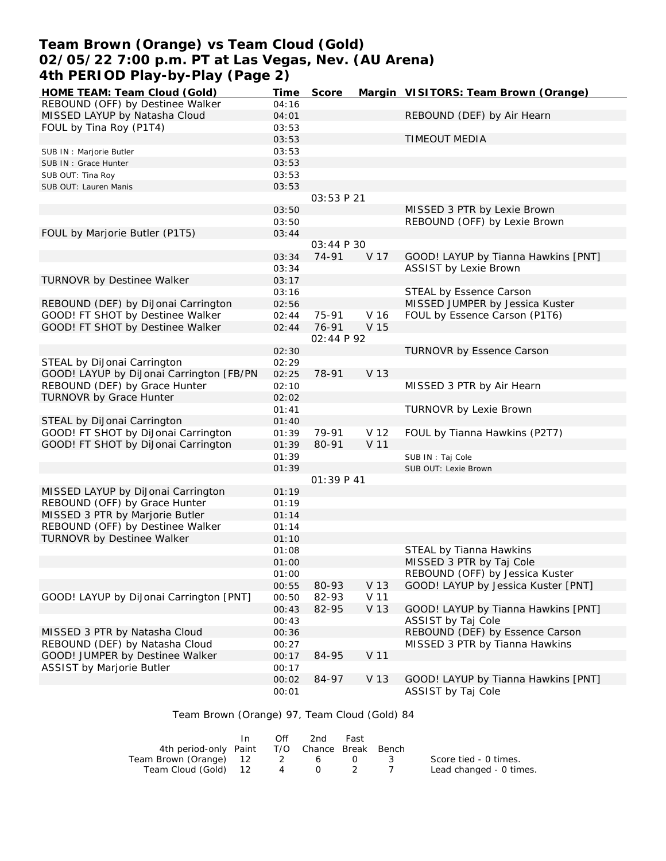## **Team Brown (Orange) vs Team Cloud (Gold) 02/05/22 7:00 p.m. PT at Las Vegas, Nev. (AU Arena) 4th PERIOD Play-by-Play (Page 2)**

| HOME TEAM: Team Cloud (Gold)             | Time           | Score      |      | Margin VISITORS: Team Brown (Orange) |
|------------------------------------------|----------------|------------|------|--------------------------------------|
| REBOUND (OFF) by Destinee Walker         | 04:16          |            |      |                                      |
| MISSED LAYUP by Natasha Cloud            | 04:01          |            |      | REBOUND (DEF) by Air Hearn           |
| FOUL by Tina Roy (P1T4)                  | 03:53          |            |      |                                      |
|                                          | 03:53          |            |      | <b>TIMEOUT MEDIA</b>                 |
| SUB IN : Marjorie Butler                 | 03:53          |            |      |                                      |
| SUB IN : Grace Hunter                    | 03:53          |            |      |                                      |
| SUB OUT: Tina Roy                        | 03:53          |            |      |                                      |
| SUB OUT: Lauren Manis                    | 03:53          |            |      |                                      |
|                                          |                | 03:53 P 21 |      |                                      |
|                                          | 03:50          |            |      | MISSED 3 PTR by Lexie Brown          |
|                                          | 03:50          |            |      | REBOUND (OFF) by Lexie Brown         |
| FOUL by Marjorie Butler (P1T5)           | 03:44          |            |      |                                      |
|                                          |                | 03:44 P 30 |      |                                      |
|                                          | 03:34          | 74-91      | V 17 | GOOD! LAYUP by Tianna Hawkins [PNT]  |
|                                          | 03:34          |            |      | <b>ASSIST by Lexie Brown</b>         |
| TURNOVR by Destinee Walker               | 03:17          |            |      |                                      |
|                                          | 03:16          |            |      | STEAL by Essence Carson              |
| REBOUND (DEF) by DiJonai Carrington      | 02:56          |            |      | MISSED JUMPER by Jessica Kuster      |
| GOOD! FT SHOT by Destinee Walker         | 02:44          | 75-91      | V 16 | FOUL by Essence Carson (P1T6)        |
| GOOD! FT SHOT by Destinee Walker         | 02:44          | 76-91      | V 15 |                                      |
|                                          |                | 02:44 P 92 |      |                                      |
| STEAL by DiJonai Carrington              | 02:30          |            |      | TURNOVR by Essence Carson            |
| GOOD! LAYUP by DiJonai Carrington [FB/PN | 02:29<br>02:25 | 78-91      | V 13 |                                      |
| REBOUND (DEF) by Grace Hunter            |                |            |      | MISSED 3 PTR by Air Hearn            |
| <b>TURNOVR by Grace Hunter</b>           | 02:10          |            |      |                                      |
|                                          | 02:02          |            |      | TURNOVR by Lexie Brown               |
| STEAL by DiJonai Carrington              | 01:41<br>01:40 |            |      |                                      |
| GOOD! FT SHOT by DiJonai Carrington      | 01:39          | 79-91      | V 12 | FOUL by Tianna Hawkins (P2T7)        |
| GOOD! FT SHOT by DiJonai Carrington      | 01:39          | 80-91      | V 11 |                                      |
|                                          | 01:39          |            |      | SUB IN: Taj Cole                     |
|                                          | 01:39          |            |      | SUB OUT: Lexie Brown                 |
|                                          |                | 01:39 P 41 |      |                                      |
| MISSED LAYUP by DiJonai Carrington       | 01:19          |            |      |                                      |
| REBOUND (OFF) by Grace Hunter            | 01:19          |            |      |                                      |
| MISSED 3 PTR by Marjorie Butler          | 01:14          |            |      |                                      |
| REBOUND (OFF) by Destinee Walker         | 01:14          |            |      |                                      |
| TURNOVR by Destinee Walker               | 01:10          |            |      |                                      |
|                                          | 01:08          |            |      | STEAL by Tianna Hawkins              |
|                                          | 01:00          |            |      | MISSED 3 PTR by Taj Cole             |
|                                          | 01:00          |            |      | REBOUND (OFF) by Jessica Kuster      |
|                                          | 00:55          | 80-93      | V 13 | GOOD! LAYUP by Jessica Kuster [PNT]  |
| GOOD! LAYUP by DiJonai Carrington [PNT]  | 00:50          | 82-93      | V 11 |                                      |
|                                          | 00:43          | 82-95      | V 13 | GOOD! LAYUP by Tianna Hawkins [PNT]  |
|                                          | 00:43          |            |      | ASSIST by Taj Cole                   |
| MISSED 3 PTR by Natasha Cloud            | 00:36          |            |      | REBOUND (DEF) by Essence Carson      |
| REBOUND (DEF) by Natasha Cloud           | 00:27          |            |      | MISSED 3 PTR by Tianna Hawkins       |
| GOOD! JUMPER by Destinee Walker          | 00:17          | 84-95      | V 11 |                                      |
| ASSIST by Marjorie Butler                | 00:17          |            |      |                                      |
|                                          | 00:02          | 84-97      | V 13 | GOOD! LAYUP by Tianna Hawkins [PNT]  |
|                                          | 00:01          |            |      | ASSIST by Taj Cole                   |

# Team Brown (Orange) 97, Team Cloud (Gold) 84

|                                              | Off | 2nd     | Fast             |     |                         |
|----------------------------------------------|-----|---------|------------------|-----|-------------------------|
| 4th period-only Paint T/O Chance Break Bench |     |         |                  |     |                         |
| Team Brown (Orange) 12 2 6                   |     |         | $\left( \right)$ | - 3 | Score tied - 0 times.   |
| Team Cloud (Gold) 12                         | 4   | $(1)$ 2 |                  |     | Lead changed - 0 times. |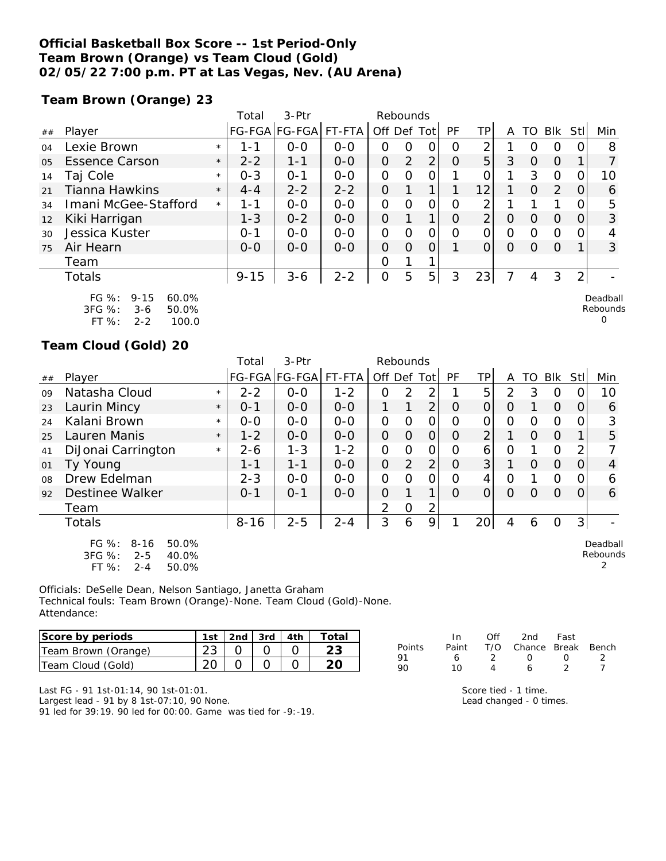### **Official Basketball Box Score -- 1st Period-Only Team Brown (Orange) vs Team Cloud (Gold) 02/05/22 7:00 p.m. PT at Las Vegas, Nev. (AU Arena)**

**Team Brown (Orange) 23**

|    |                                                            |         | Total    | $3-$ Ptr      |         | Rebounds       |          |                |    |                |   |          |          |                |                      |
|----|------------------------------------------------------------|---------|----------|---------------|---------|----------------|----------|----------------|----|----------------|---|----------|----------|----------------|----------------------|
| ## | Player                                                     |         |          | FG-FGA FG-FGA | FT-FTA  | Off Def Tot    |          |                | PF | ΤP             | A | TO       | Blk      | Stll           | Min                  |
| 04 | Lexie Brown                                                | $\star$ | 1-1      | $0 - 0$       | $0 - 0$ | 0              | O        | 0              | O  | 2              |   |          | Ο        |                | 8                    |
| 05 | <b>Essence Carson</b>                                      | $\star$ | $2 - 2$  | 1-1           | $0 - 0$ | 0              | 2        | 2              | O  | 5              | 3 | Ο        | $\Omega$ |                |                      |
| 14 | Taj Cole                                                   | $\star$ | $0 - 3$  | $O - 1$       | $0 - 0$ | $\Omega$       | $\Omega$ | 0              |    | O              | 1 | 3        | 0        |                | 10                   |
| 21 | Tianna Hawkins                                             | $\star$ | $4 - 4$  | $2 - 2$       | $2 - 2$ | 0              |          | 1              |    | 12             |   | O        | 2        | O              | 6                    |
| 34 | Imani McGee-Stafford                                       | $\star$ | $1 - 1$  | $0-0$         | $O-O$   | $\Omega$       | $\circ$  | 0              | Ο  | 2              |   |          |          |                | 5                    |
| 12 | Kiki Harrigan                                              |         | $1 - 3$  | $0 - 2$       | $0 - 0$ | $\overline{O}$ |          | 1              | O  | $\overline{2}$ | O | $\Omega$ | $\Omega$ |                | 3                    |
| 30 | Jessica Kuster                                             |         | $0 - 1$  | $0 - 0$       | $0-0$   | $\mathcal{O}$  | O        | 0              | Ω  | 0              | Ω | Ω        | 0        |                | 4                    |
| 75 | Air Hearn                                                  |         | $O - O$  | $0 - 0$       | $0 - 0$ | 0              | $\Omega$ | 0              |    | 0              | O | Ω        | $\Omega$ |                | 3                    |
|    | Team                                                       |         |          |               |         | O              |          |                |    |                |   |          |          |                |                      |
|    | <b>Totals</b>                                              |         | $9 - 15$ | $3 - 6$       | $2 - 2$ | $\overline{O}$ | 5        | 5 <sup>1</sup> | 3  | 23             |   | 4        | 3        | $\overline{2}$ |                      |
|    | $FG \%$ :<br>60.0%<br>$9 - 15$<br>3FG %:<br>50.0%<br>$3-6$ |         |          |               |         |                |          |                |    |                |   |          |          |                | Deadball<br>Rebounds |

| 3FG %:    | 3-6 | 50.0% |
|-----------|-----|-------|
| FT $\%$ : | 2-2 | 100.0 |

#### **Team Cloud (Gold) 20**

|    |                                                                                           |         | Total    | 3-Ptr         |         | Rebounds       |                |                |                |                 |          |          |          |                |                           |
|----|-------------------------------------------------------------------------------------------|---------|----------|---------------|---------|----------------|----------------|----------------|----------------|-----------------|----------|----------|----------|----------------|---------------------------|
| ## | Player                                                                                    |         |          | FG-FGA FG-FGA | FT-FTA  | Off Def Tot    |                |                | <b>PF</b>      | TPI             | A        | TO       | Blk      | <b>Stl</b>     | Min                       |
| 09 | Natasha Cloud                                                                             | $\star$ | $2 - 2$  | $0 - 0$       | $1 - 2$ | 0              | 2              | 2              |                | 5               | 2        | 3        | 0        | 0              | 10                        |
| 23 | Laurin Mincy                                                                              | $\star$ | $0 - 1$  | $O-O$         | $0-0$   | 1              | 1              | $\overline{2}$ | $\Omega$       | $\overline{O}$  | $\Omega$ |          | $\Omega$ | $\overline{O}$ | 6                         |
| 24 | Kalani Brown                                                                              | $\star$ | $0-0$    | $0-0$         | $0-0$   | $\overline{O}$ | $\mathbf{O}$   | $\overline{O}$ | O              | 0               | 0        | 0        | $\Omega$ | 0              | 3                         |
| 25 | Lauren Manis                                                                              | $\star$ | $1 - 2$  | $0 - 0$       | $0 - 0$ | $\overline{O}$ | $\Omega$       | $\mathcal{O}$  | $\Omega$       | $\overline{2}$  |          | $\Omega$ | $\Omega$ |                | 5                         |
| 41 | DiJonai Carrington                                                                        | $\star$ | $2 - 6$  | $1 - 3$       | $1 - 2$ | $\overline{O}$ | $\mathbf{O}$   | $\Omega$       | Ο              | 6               | $\Omega$ |          | $\Omega$ | 2              |                           |
| 01 | Ty Young                                                                                  |         | $1 - 1$  | $1 - 1$       | $0 - 0$ | $\overline{O}$ | $\overline{2}$ | 2              | $\overline{O}$ | 3 <sup>1</sup>  |          | 0        | $\Omega$ | 0              | 4                         |
| 08 | Drew Edelman                                                                              |         | $2 - 3$  | $0 - 0$       | $0 - 0$ | 0              | $\Omega$       | 0              | $\Omega$       | 4               | 0        |          | $\circ$  | 0              | 6                         |
| 92 | Destinee Walker                                                                           |         | $0 - 1$  | $O - 1$       | $0-0$   | 0              |                |                | $\Omega$       | $\Omega$        | $\Omega$ | $\Omega$ | $\Omega$ | $\Omega$       | 6                         |
|    | Team                                                                                      |         |          |               |         | 2              | $\mathcal{O}$  | 2              |                |                 |          |          |          |                |                           |
|    | Totals                                                                                    |         | $8 - 16$ | $2 - 5$       | $2 - 4$ | 3              | 6              | 9              |                | 20 <sup>1</sup> | 4        | 6        | O        | 3 <sup>1</sup> |                           |
|    | FG %:<br>50.0%<br>$8 - 16$<br>$3FG \%$<br>40.0%<br>$2 - 5$<br>$FT$ %:<br>50.0%<br>$2 - 4$ |         |          |               |         |                |                |                |                |                 |          |          |          |                | Deadball<br>Rebounds<br>2 |

Officials: DeSelle Dean, Nelson Santiago, Janetta Graham Technical fouls: Team Brown (Orange)-None. Team Cloud (Gold)-None. Attendance:

| Score by periods    | 1st |  | 2nd   3rd   4th ' | Total |
|---------------------|-----|--|-------------------|-------|
| Team Brown (Orange) |     |  |                   |       |
| Team Cloud (Gold)   |     |  |                   |       |

|        | In.   | ∩ff           | 2nd                    | Fast             |                          |
|--------|-------|---------------|------------------------|------------------|--------------------------|
| Points | Paint |               | T/O Chance Break Bench |                  |                          |
| 91     | 6     | $\mathcal{L}$ | $\left( \right)$       | $\left( \right)$ | $\overline{\phantom{a}}$ |
| 90     | 10    |               | Ь                      |                  |                          |

Score tied - 1 time. Lead changed - 0 times. 0

Last FG - 91 1st-01:14, 90 1st-01:01.

Largest lead - 91 by 8 1st-07:10, 90 None.

91 led for 39:19. 90 led for 00:00. Game was tied for -9:-19.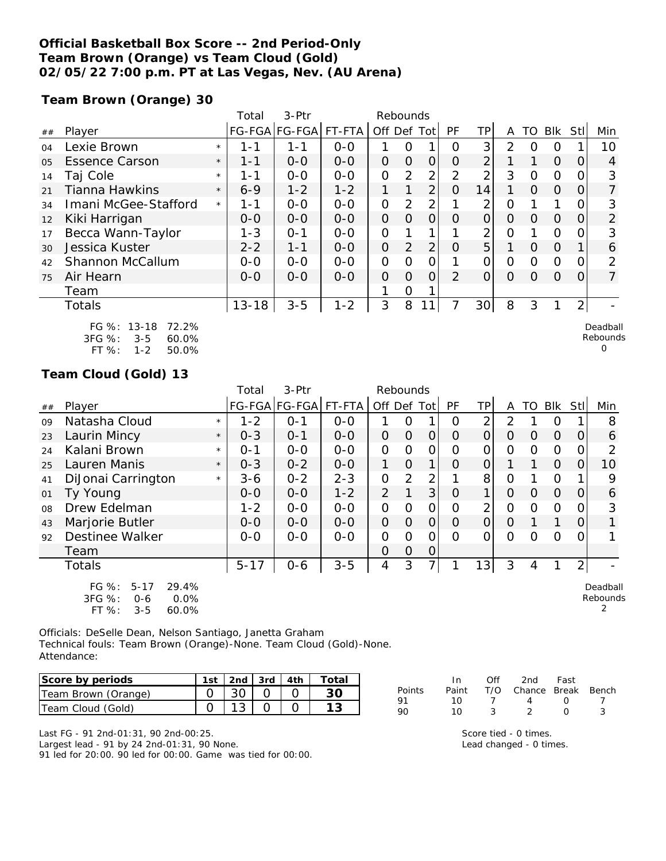### **Official Basketball Box Score -- 2nd Period-Only Team Brown (Orange) vs Team Cloud (Gold) 02/05/22 7:00 p.m. PT at Las Vegas, Nev. (AU Arena)**

**Team Brown (Orange) 30**

|    |                                                                                           |         | Total     | $3-$ Ptr      |         | Rebounds       |                |                |                |                 |          |          |            |                |                      |
|----|-------------------------------------------------------------------------------------------|---------|-----------|---------------|---------|----------------|----------------|----------------|----------------|-----------------|----------|----------|------------|----------------|----------------------|
| ## | Player                                                                                    |         |           | FG-FGA FG-FGA | FT-FTA  | Off Def Tot    |                |                | <b>PF</b>      | TPI             | A        | TO       | <b>Blk</b> | StII           | Min                  |
| 04 | Lexie Brown                                                                               | $\star$ | 1 - 1     | $1 - 1$       | $0-0$   |                | 0              |                | Ω              | 3               | 2        | Ω        | O          |                | 10                   |
| 05 | <b>Essence Carson</b>                                                                     | $\star$ | 1-1       | $0 - 0$       | $0 - 0$ | $\overline{O}$ | $\Omega$       | $\Omega$       | O              | 2               |          |          | $\Omega$   | 0              | 4                    |
| 14 | Taj Cole                                                                                  | $\star$ | 1-1       | $0-0$         | $0-0$   | 0              | 2              | 2              | 2              | 2               | 3        | O        | $\Omega$   | O              | 3                    |
| 21 | <b>Tianna Hawkins</b>                                                                     | $\star$ | $6 - 9$   | $1 - 2$       | $1 - 2$ | 1              |                | 2              | 0              | 14              | 1        | $\Omega$ | $\Omega$   | O              |                      |
| 34 | Imani McGee-Stafford                                                                      | $\star$ | 1-1       | $0-0$         | $0 - 0$ | $\overline{O}$ | 2              | 2              |                | 2               | 0        |          |            | 0              | 3                    |
| 12 | Kiki Harrigan                                                                             |         | $0-0$     | $0-0$         | $0 - 0$ | 0              | $\Omega$       | $\overline{O}$ | O              | $\overline{O}$  | $\Omega$ | $\Omega$ | $\Omega$   | 0              | 2                    |
| 17 | Becca Wann-Taylor                                                                         |         | $1 - 3$   | $O - 1$       | $0 - 0$ | $\overline{O}$ |                |                |                | 2               | 0        |          | O          | O              | 3                    |
| 30 | Jessica Kuster                                                                            |         | $2 - 2$   | $1 - 1$       | $0-0$   | 0              | $\overline{2}$ | 2              | $\Omega$       | 5               |          | $\Omega$ | $\Omega$   |                | 6                    |
| 42 | Shannon McCallum                                                                          |         | $0-0$     | $0 - 0$       | $0-0$   | $\overline{O}$ | $\Omega$       | 0              |                | $\overline{O}$  | $\Omega$ | $\Omega$ | $\Omega$   | 0              | 2                    |
| 75 | Air Hearn                                                                                 |         | $0 - 0$   | $0-0$         | $0-0$   | $\overline{O}$ | $\Omega$       | $\Omega$       | $\overline{2}$ | $\overline{O}$  | $\Omega$ | Ο        | $\Omega$   | 0              | 7                    |
|    | Team                                                                                      |         |           |               |         |                | 0              |                |                |                 |          |          |            |                |                      |
|    | Totals                                                                                    |         | $13 - 18$ | $3 - 5$       | $1 - 2$ | 3              | 8              |                |                | 30 <sup>2</sup> | 8        | 3        |            | $\overline{2}$ |                      |
|    | $13 - 18$<br>FG $%$ :<br>72.2%<br>3FG %:<br>$3 - 5$<br>60.0%<br>FT %:<br>$1 - 2$<br>50.0% |         |           |               |         |                |                |                |                |                 |          |          |            |                | Deadball<br>Rebounds |

**Team Cloud (Gold) 13**

|    |                                                                                      |         | Total    | 3-Ptr                |         | Rebounds       |                |                |           |                 |                |          |                |          |                           |
|----|--------------------------------------------------------------------------------------|---------|----------|----------------------|---------|----------------|----------------|----------------|-----------|-----------------|----------------|----------|----------------|----------|---------------------------|
| ## | Plaver                                                                               |         |          | FG-FGA FG-FGA FT-FTA |         | Off Def Tot    |                |                | <b>PF</b> | <b>TP</b>       | A              | TO       | Blk            | Stll     | Min                       |
| 09 | Natasha Cloud                                                                        | $\star$ | $1 - 2$  | $O - 1$              | $0 - 0$ |                | O              |                | Ο         | $\overline{2}$  | 2              |          | 0              |          | 8                         |
| 23 | Laurin Mincy                                                                         | $\star$ | $0 - 3$  | $O - 1$              | $0 - 0$ | 0              | $\Omega$       | $\Omega$       | $\Omega$  | $\Omega$        | $\Omega$       | $\Omega$ | $\overline{O}$ | O        | 6                         |
| 24 | Kalani Brown                                                                         | $\star$ | $0 - 1$  | $0 - 0$              | $0-0$   | $\overline{O}$ | $\Omega$       | $\Omega$       | O         | 0               | 0              | $\Omega$ | $\overline{O}$ |          | 2                         |
| 25 | Lauren Manis                                                                         | $\star$ | $0 - 3$  | $0 - 2$              | $0 - 0$ | 1              | $\Omega$       | 1              | O         | $\Omega$        |                |          | $\overline{O}$ | 0        | 10                        |
| 41 | DiJonai Carrington                                                                   | $\star$ | $3 - 6$  | $0 - 2$              | $2 - 3$ | 0              | $\overline{2}$ | $\overline{2}$ |           | 8 <sup>1</sup>  | $\mathcal{O}$  |          | $\Omega$       |          | 9                         |
| 01 | Ty Young                                                                             |         | $0 - 0$  | $0-0$                | $1 - 2$ | $\overline{2}$ | 1              | 3 <sub>l</sub> | $\Omega$  | $\mathbf{1}$    | $\overline{O}$ | $\Omega$ | $\overline{O}$ | $\Omega$ | 6                         |
| 08 | Drew Edelman                                                                         |         | $1 - 2$  | $0 - 0$              | $0 - 0$ | 0              | O              | 0              | 0         | $\overline{2}$  | 0              | $\Omega$ | $\Omega$       |          | 3                         |
| 43 | Marjorie Butler                                                                      |         | $0 - 0$  | $0 - 0$              | $0 - 0$ | 0              | $\Omega$       | $\Omega$       | 0         | $\Omega$        | $\Omega$       |          |                | O        |                           |
| 92 | <b>Destinee Walker</b>                                                               |         | $0 - 0$  | $0 - 0$              | $0 - 0$ | 0              | $\Omega$       | $\Omega$       | Ω         | O               | $\Omega$       | O        | $\Omega$       |          |                           |
|    | Team                                                                                 |         |          |                      |         | O              | $\Omega$       | 0              |           |                 |                |          |                |          |                           |
|    | <b>Totals</b>                                                                        |         | $5 - 17$ | $0 - 6$              | $3 - 5$ | 4              | 3              | 71             |           | 13 <sub>1</sub> | 3              | 4        |                | 2        |                           |
|    | FG %:<br>29.4%<br>$5 - 17$<br>3FG %:<br>0.0%<br>$0 - 6$<br>FT %:<br>$3 - 5$<br>60.0% |         |          |                      |         |                |                |                |           |                 |                |          |                |          | Deadball<br>Rebounds<br>2 |

Officials: DeSelle Dean, Nelson Santiago, Janetta Graham Technical fouls: Team Brown (Orange)-None. Team Cloud (Gold)-None. Attendance:

| Score by periods    |                 |  | 1st   2nd   3rd   4th   Total |
|---------------------|-----------------|--|-------------------------------|
| Team Brown (Orange) | 30 <sup>1</sup> |  |                               |
| Team Cloud (Gold)   |                 |  |                               |

Last FG - 91 2nd-01:31, 90 2nd-00:25. Largest lead - 91 by 24 2nd-01:31, 90 None. 91 led for 20:00. 90 led for 00:00. Game was tied for 00:00.

|        | In In |                | Off 2nd Fast                 |                  |  |
|--------|-------|----------------|------------------------------|------------------|--|
| Points |       |                | Paint T/O Chance Break Bench |                  |  |
| 91     | 1 O   | $\overline{1}$ | $\overline{4}$               | $\left( \right)$ |  |
| 90     | 1 O   | ્ર             |                              | $\left( \right)$ |  |

Score tied - 0 times. Lead changed - 0 times.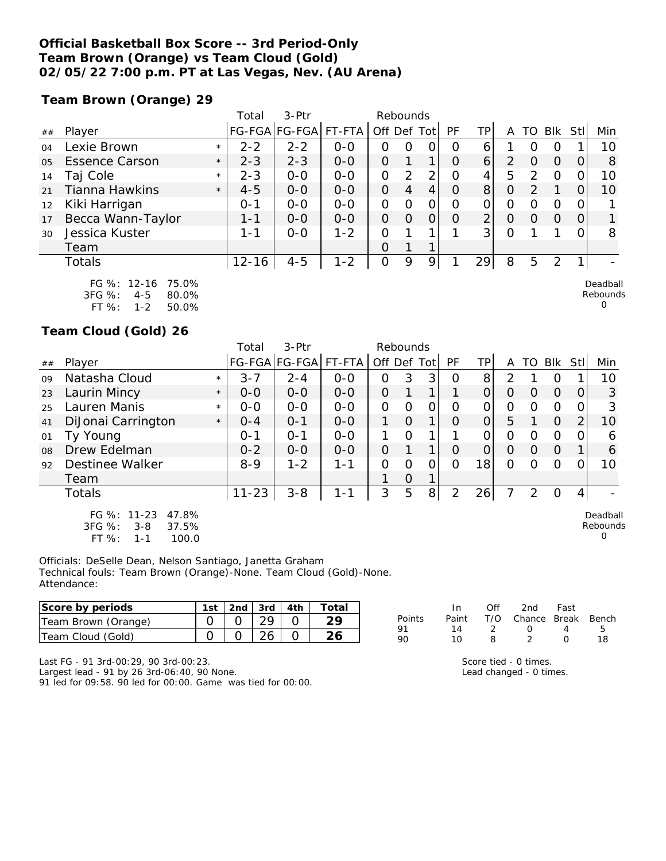#### **Official Basketball Box Score -- 3rd Period-Only Team Brown (Orange) vs Team Cloud (Gold) 02/05/22 7:00 p.m. PT at Las Vegas, Nev. (AU Arena)**

**Team Brown (Orange) 29**

|                |                       |         | Total     | $3-Ptr$       |         |         | Rebounds |                |          |                |   |                  |            |      |          |
|----------------|-----------------------|---------|-----------|---------------|---------|---------|----------|----------------|----------|----------------|---|------------------|------------|------|----------|
| ##             | Player                |         |           | FG-FGA FG-FGA | FT-FTA  | Off Def |          | Totl           | PF       | TP             | Α | TO               | <b>BIK</b> | StII | Min      |
| 04             | Lexie Brown           | $\star$ | $2 - 2$   | $2 - 2$       | $0 - 0$ | Ο       | O        | 0              | O        | 6              |   |                  | O          |      | 10       |
| 0 <sub>5</sub> | <b>Essence Carson</b> | $\star$ | $2 - 3$   | $2 - 3$       | $0 - 0$ | 0       |          | 1              | O        | 6              | 2 |                  | $\Omega$   |      | 8        |
| 14             | Taj Cole              | $\star$ | $2 - 3$   | $0 - 0$       | $0 - 0$ | O       | 2        | 2              | O        | 4              | 5 | っ                | O          |      | 10       |
| 21             | Tianna Hawkins        | $\star$ | $4 - 5$   | $0 - 0$       | $0 - 0$ | O       | 4        | 4              | O        | 8 <sup>1</sup> | O | っ                |            |      | 10       |
| 12             | Kiki Harrigan         |         | $0 - 1$   | $0 - 0$       | $0 - 0$ | O       | 0        | $\overline{O}$ | O        | 0              | O |                  | O          |      |          |
| 17             | Becca Wann-Taylor     |         | 1-1       | $0 - 0$       | $0 - 0$ | O       | $\Omega$ | 0              | $\Omega$ | $\overline{2}$ | O | $\left( \right)$ | $\Omega$   | 0    |          |
| 30             | Jessica Kuster        |         | $1 - 1$   | $0 - 0$       | $1 - 2$ | 0       |          |                |          | $\overline{3}$ | 0 |                  |            |      | 8        |
|                | Team                  |         |           |               |         | 0       |          |                |          |                |   |                  |            |      |          |
|                | <b>Totals</b>         |         | $12 - 16$ | $4 - 5$       | $1 - 2$ | 0       | 9        | 9              |          | 29             | 8 | 5                | 2          |      |          |
|                | FG %: 12-16<br>75.0%  |         |           |               |         |         |          |                |          |                |   |                  |            |      | Deadball |

FG %: 12-16 75.0% 3FG %: 4-5 80.0% FT %: 1-2 50.0%

**Team Cloud (Gold) 26**

|    |                                                                               |         | Total     | $3-$ Ptr             |         | Rebounds       |          |             |           |                |          |               |          |                |                           |
|----|-------------------------------------------------------------------------------|---------|-----------|----------------------|---------|----------------|----------|-------------|-----------|----------------|----------|---------------|----------|----------------|---------------------------|
| ## | Player                                                                        |         |           | FG-FGA FG-FGA FT-FTA |         | Off Def Tot    |          |             | <b>PF</b> | TPI            | A        | TO I          | Blk      | -StII          | Min                       |
| 09 | Natasha Cloud                                                                 | $\star$ | $3 - 7$   | $2 - 4$              | $0 - 0$ | 0              | 3        | 3           | $\Omega$  | 8              | 2        |               | Ő        |                | 10                        |
| 23 | Laurin Mincy                                                                  | $\star$ | $0 - 0$   | $0 - 0$              | $0 - 0$ | $\overline{O}$ |          | 1           |           | $\Omega$       | $\Omega$ | O             | $\Omega$ | $\Omega$       | 3                         |
| 25 | Lauren Manis                                                                  | $\star$ | $0 - 0$   | $0 - 0$              | $0 - 0$ | $\mathbf{O}$   | O        | 0           | O         | 0              | O        | Ω             | $\Omega$ | $\Omega$       | 3                         |
| 41 | DiJonai Carrington                                                            | $\star$ | $O - 4$   | $O - 1$              | $0-0$   |                | $\Omega$ | $\mathbf 1$ | $\Omega$  | $\overline{O}$ | 5        |               | 0        | $\overline{2}$ | 10                        |
| 01 | Ty Young                                                                      |         | $0 - 1$   | $O - 1$              | $0 - 0$ | 1              | $\Omega$ | 1           |           | $\Omega$       | 0        | Ω             | $\Omega$ | 0              | 6                         |
| 08 | Drew Edelman                                                                  |         | $0 - 2$   | $0 - 0$              | $0 - 0$ | $\Omega$       |          |             | O         | $\Omega$       | $\Omega$ | $\Omega$      | $\Omega$ |                | 6                         |
| 92 | Destinee Walker                                                               |         | $8 - 9$   | $1 - 2$              | $1 - 1$ | O              | Ω        | 0           | Ω         | 18             | 0        | O             | O        |                | 10                        |
|    | Team                                                                          |         |           |                      |         |                | $\Omega$ | 1           |           |                |          |               |          |                |                           |
|    | <b>Totals</b>                                                                 |         | $11 - 23$ | $3 - 8$              | 1-1     | 3              | 5        | 8           | 2         | 26             | 7        | $\mathcal{P}$ | $\Omega$ | $\vert$        |                           |
|    | FG %: 11-23<br>47.8%<br>3FG %:<br>37.5%<br>$3 - 8$<br>$FT$ %:<br>100.0<br>1-1 |         |           |                      |         |                |          |             |           |                |          |               |          |                | Deadball<br>Rebounds<br>O |

Officials: DeSelle Dean, Nelson Santiago, Janetta Graham Technical fouls: Team Brown (Orange)-None. Team Cloud (Gold)-None. Attendance:

| Score by periods    | 1st | 2nd | 3rd | 4th | $\tau$ otal |        |                   | Off | 2nd    | Fast         |     |
|---------------------|-----|-----|-----|-----|-------------|--------|-------------------|-----|--------|--------------|-----|
| Team Brown (Orange) |     |     | ာဝ  |     | <u>.</u>    | Points | Pain <sup>.</sup> | T/O | Chance | <b>Break</b> | Ben |
| Team Cloud (Gold)   |     |     | 26  |     | $\sim$      | 90     |                   |     |        |              | 18  |

Last FG - 91 3rd-00:29, 90 3rd-00:23. Largest lead - 91 by 26 3rd-06:40, 90 None. 91 led for 09:58. 90 led for 00:00. Game was tied for 00:00. Score tied - 0 times.

Rebounds 0

Bench<br>5

Lead changed - 0 times.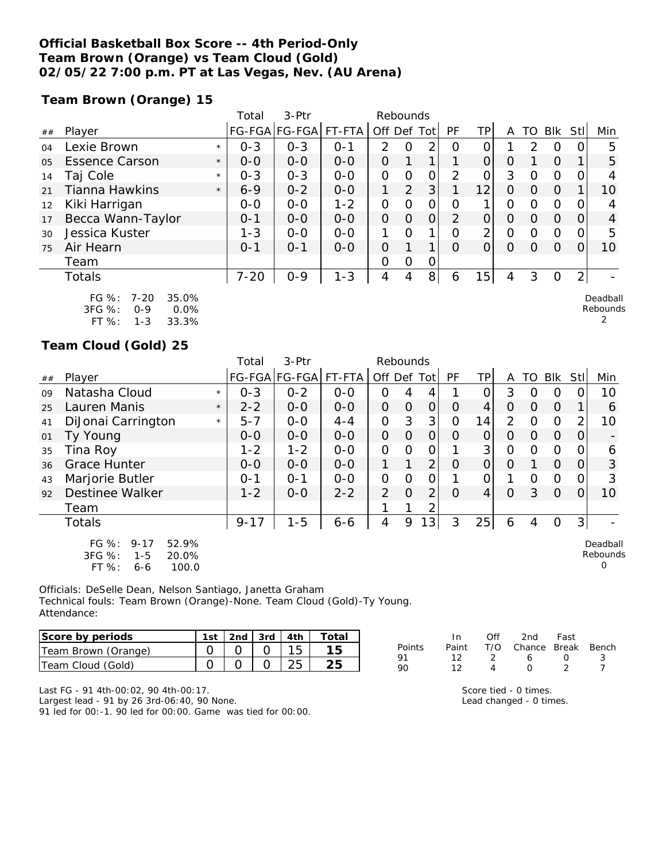### **Official Basketball Box Score -- 4th Period-Only Team Brown (Orange) vs Team Cloud (Gold) 02/05/22 7:00 p.m. PT at Las Vegas, Nev. (AU Arena)**

**Team Brown (Orange) 15**

|    |                                                            |         | Total    | $3-$ Ptr      |         | Rebounds      |          |                |          |                 |   |    |                |                |                      |
|----|------------------------------------------------------------|---------|----------|---------------|---------|---------------|----------|----------------|----------|-----------------|---|----|----------------|----------------|----------------------|
| ## | Player                                                     |         |          | FG-FGA FG-FGA | FT-FTA  | Off Def Tot   |          |                | PF       | ΤP              | A | TO | Blk            | Stll           | Min                  |
| 04 | Lexie Brown                                                | $\star$ | $0 - 3$  | $0 - 3$       | $O - 1$ | $\mathcal{P}$ | 0        | 2              | Ο        |                 |   | っ  | 0              |                | 5                    |
| 05 | <b>Essence Carson</b>                                      | $\star$ | $0 - 0$  | $0 - 0$       | $0 - 0$ | 0             |          | 1              |          | 0               | O |    | $\Omega$       |                | 5                    |
| 14 | Taj Cole                                                   | $\star$ | $0 - 3$  | $0 - 3$       | $0 - 0$ | $\Omega$      | $\Omega$ | 0              | 2        | 0               | 3 | Ω  | 0              |                | 4                    |
| 21 | Tianna Hawkins                                             | $\star$ | $6 - 9$  | $0 - 2$       | $0-0$   |               | 2        | 3 <sup>1</sup> |          | 12              | Ο | Ο  | $\overline{0}$ |                | 10                   |
| 12 | Kiki Harrigan                                              |         | $0-0$    | $0-0$         | $1 - 2$ | $\Omega$      | O        | $\mathcal{O}$  | 0        | 1               | O | ∩  | $\Omega$       | O              | 4                    |
| 17 | Becca Wann-Taylor                                          |         | $O - 1$  | $0 - 0$       | $0 - 0$ | $\Omega$      | $\Omega$ | $\overline{O}$ | 2        | 0               | O | O  | $\Omega$       |                | 4                    |
| 30 | Jessica Kuster                                             |         | $1 - 3$  | $0 - 0$       | $0-0$   |               | $\Omega$ | 1              | Ω        | 2               | 0 | Ω  | 0              |                | 5                    |
| 75 | Air Hearn                                                  |         | $O - 1$  | $O - 1$       | $0 - 0$ | 0             |          | 1              | $\Omega$ | O               | O | Ω  | $\Omega$       |                | 10                   |
|    | Team                                                       |         |          |               |         | O             | $\circ$  | 0              |          |                 |   |    |                |                |                      |
|    | <b>Totals</b>                                              |         | $7 - 20$ | $0 - 9$       | $1 - 3$ | 4             | 4        | 8 <sup>1</sup> | 6        | 15 <sub>1</sub> | 4 | 3  | 0              | $\overline{2}$ |                      |
|    | FG $%$ :<br>35.0%<br>$7 - 20$<br>0.0%<br>3FG %:<br>$0 - 9$ |         |          |               |         |               |          |                |          |                 |   |    |                |                | Deadball<br>Rebounds |

3FG %: 0-9 0.0% FT %: 1-3 33.3%

#### **Team Cloud (Gold) 25**

|    |                                                                                            |         | Total    | 3-Ptr         |         | Rebounds       |                |                |             |                |                |          |          |          |                           |
|----|--------------------------------------------------------------------------------------------|---------|----------|---------------|---------|----------------|----------------|----------------|-------------|----------------|----------------|----------|----------|----------|---------------------------|
| ## | Player                                                                                     |         |          | FG-FGA FG-FGA | FT-FTA  | Off Def Tot    |                |                | <b>PF</b>   | TPI            | A              | TO       | Blk      | Stll     | Min                       |
| 09 | Natasha Cloud                                                                              | $\star$ | $0 - 3$  | $0 - 2$       | $0 - 0$ | 0              | 4              | 4              |             | $\Omega$       | 3              | O        | 0        | 0        | 10                        |
| 25 | Lauren Manis                                                                               | $\star$ | $2 - 2$  | $0 - 0$       | $O - O$ | $\Omega$       | $\Omega$       | $\overline{O}$ | $\Omega$    | $\overline{4}$ | $\Omega$       | $\Omega$ | $\Omega$ |          | 6                         |
| 41 | DiJonai Carrington                                                                         | $\star$ | $5 - 7$  | $0-0$         | $4 - 4$ | $\overline{O}$ | 3              | 3              | $\mathbf 0$ | 14             | $\overline{2}$ | 0        | $\Omega$ | 2        | 10                        |
| 01 | Ty Young                                                                                   |         | $0-0$    | $0 - 0$       | $0-0$   | $\overline{O}$ | $\Omega$       | $\overline{O}$ | 0           | $\Omega$       | $\Omega$       | $\Omega$ | $\Omega$ | $\Omega$ |                           |
| 35 | Tina Roy                                                                                   |         | $1 - 2$  | $1 - 2$       | $O-O$   | $\overline{O}$ | 0              | $\mathbf{O}$   |             | 3              | $\overline{O}$ | O        | $\Omega$ | O.       | 6                         |
| 36 | <b>Grace Hunter</b>                                                                        |         | $0 - 0$  | $0 - 0$       | $0 - 0$ |                |                | $\overline{2}$ | O           | $\overline{O}$ | $\Omega$       |          | $\Omega$ | 0        | 3                         |
| 43 | Marjorie Butler                                                                            |         | $0 - 1$  | $O - 1$       | $0-0$   | $\overline{O}$ | 0              | O              |             | 0              |                | O        | $\circ$  | 0        | 3                         |
| 92 | <b>Destinee Walker</b>                                                                     |         | $1 - 2$  | $O - O$       | $2 - 2$ | $\overline{2}$ | $\overline{O}$ | 2              | $\Omega$    | 4              | $\Omega$       | 3        | $\Omega$ | 0        | 10                        |
|    | Team                                                                                       |         |          |               |         |                |                | 2              |             |                |                |          |          |          |                           |
|    | <b>Totals</b>                                                                              |         | $9 - 17$ | $1 - 5$       | $6 - 6$ | 4              | 9              | 131            | 3           | 25             | 6              | 4        | 0        | 3        |                           |
|    | FG $%$ :<br>52.9%<br>$9 - 17$<br>3FG %:<br>20.0%<br>$1 - 5$<br>$FT$ %:<br>100.0<br>$6 - 6$ |         |          |               |         |                |                |                |             |                |                |          |          |          | Deadball<br>Rebounds<br>0 |

Officials: DeSelle Dean, Nelson Santiago, Janetta Graham Technical fouls: Team Brown (Orange)-None. Team Cloud (Gold)-Ty Young. Attendance:

| Score by periods    | 1st |  | $\vert$ 2nd $\vert$ 3rd $\vert$ 4th $\vert$ | - Totai |
|---------------------|-----|--|---------------------------------------------|---------|
| Team Brown (Orange) |     |  |                                             |         |
| Team Cloud (Gold)   |     |  |                                             |         |

|        | In. | ∩ff           | 2nd                          | Fast             |    |
|--------|-----|---------------|------------------------------|------------------|----|
| Points |     |               | Paint T/O Chance Break Bench |                  |    |
| 91     | 12. | $\mathcal{L}$ | 6.                           | $\left( \right)$ | ્ર |
| 90     | 12  |               | $\left( \right)$             |                  |    |

2

Last FG - 91 4th-00:02, 90 4th-00:17.

Largest lead - 91 by 26 3rd-06:40, 90 None. 91 led for 00:-1. 90 led for 00:00. Game was tied for 00:00. Score tied - 0 times.

Lead changed - 0 times.